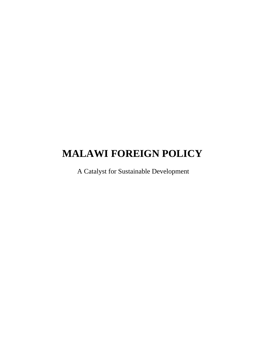# **MALAWI FOREIGN POLICY**

A Catalyst for Sustainable Development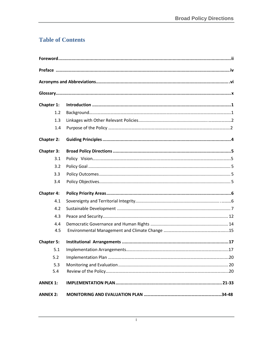# **Table of Contents**

| Chapter 1:        |  |
|-------------------|--|
| 1.2               |  |
| 1.3               |  |
| 1.4               |  |
| <b>Chapter 2:</b> |  |
| <b>Chapter 3:</b> |  |
| 3.1               |  |
| 3.2               |  |
| 3.3               |  |
| 3.4               |  |
| <b>Chapter 4:</b> |  |
| 4.1               |  |
| 4.2               |  |
| 4.3               |  |
| 4.4               |  |
| 4.5               |  |
| <b>Chapter 5:</b> |  |
|                   |  |
| 5.2               |  |
| 5.3               |  |
| 5.4               |  |
| <b>ANNEX 1:</b>   |  |
| <b>ANNEX 2:</b>   |  |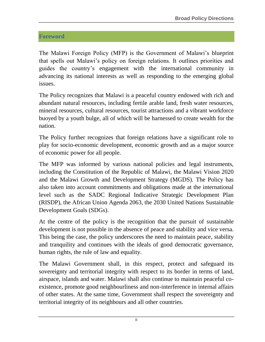# <span id="page-3-0"></span>**Foreword**

The Malawi Foreign Policy (MFP) is the Government of Malawi's blueprint that spells out Malawi's policy on foreign relations. It outlines priorities and guides the country's engagement with the international community in advancing its national interests as well as responding to the emerging global issues.

The Policy recognizes that Malawi is a peaceful country endowed with rich and abundant natural resources, including fertile arable land, fresh water resources, mineral resources, cultural resources, tourist attractions and a vibrant workforce buoyed by a youth bulge, all of which will be harnessed to create wealth for the nation.

The Policy further recognizes that foreign relations have a significant role to play for socio-economic development, economic growth and as a major source of economic power for all people.

The MFP was informed by various national policies and legal instruments, including the Constitution of the Republic of Malawi, the Malawi Vision 2020 and the Malawi Growth and Development Strategy (MGDS). The Policy has also taken into account commitments and obligations made at the international level such as the SADC Regional Indicative Strategic Development Plan (RISDP), the African Union Agenda 2063, the 2030 United Nations Sustainable Development Goals (SDGs).

At the centre of the policy is the recognition that the pursuit of sustainable development is not possible in the absence of peace and stability and vice versa. This being the case, the policy underscores the need to maintain peace, stability and tranquility and continues with the ideals of good democratic governance, human rights, the rule of law and equality.

The Malawi Government shall, in this respect, protect and safeguard its sovereignty and territorial integrity with respect to its border in terms of land, airspace, islands and water. Malawi shall also continue to maintain peaceful coexistence, promote good neighbourliness and non-interference in internal affairs of other states. At the same time, Government shall respect the sovereignty and territorial integrity of its neighbours and all other countries.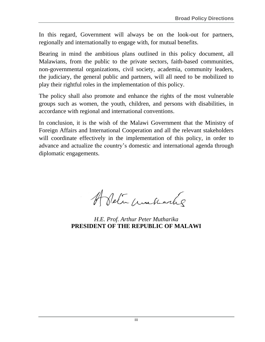In this regard, Government will always be on the look-out for partners, regionally and internationally to engage with, for mutual benefits.

Bearing in mind the ambitious plans outlined in this policy document, all Malawians, from the public to the private sectors, faith-based communities, non-governmental organizations, civil society, academia, community leaders, the judiciary, the general public and partners, will all need to be mobilized to play their rightful roles in the implementation of this policy.

The policy shall also promote and enhance the rights of the most vulnerable groups such as women, the youth, children, and persons with disabilities, in accordance with regional and international conventions.

In conclusion, it is the wish of the Malawi Government that the Ministry of Foreign Affairs and International Cooperation and all the relevant stakeholders will coordinate effectively in the implementation of this policy, in order to advance and actualize the country's domestic and international agenda through diplomatic engagements.

A Setin contracting

*H.E. Prof. Arthur Peter Mutharika* **PRESIDENT OF THE REPUBLIC OF MALAWI**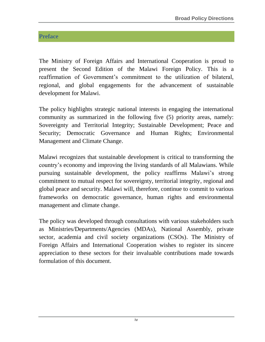# <span id="page-5-0"></span>**Preface**

The Ministry of Foreign Affairs and International Cooperation is proud to present the Second Edition of the Malawi Foreign Policy. This is a reaffirmation of Government's commitment to the utilization of bilateral, regional, and global engagements for the advancement of sustainable development for Malawi.

The policy highlights strategic national interests in engaging the international community as summarized in the following five (5) priority areas, namely: Sovereignty and Territorial Integrity; Sustainable Development; Peace and Security; Democratic Governance and Human Rights; Environmental Management and Climate Change.

Malawi recognizes that sustainable development is critical to transforming the country's economy and improving the living standards of all Malawians. While pursuing sustainable development, the policy reaffirms Malawi's strong commitment to mutual respect for sovereignty, territorial integrity, regional and global peace and security. Malawi will, therefore, continue to commit to various frameworks on democratic governance, human rights and environmental management and climate change.

The policy was developed through consultations with various stakeholders such as Ministries/Departments/Agencies (MDAs), National Assembly, private sector, academia and civil society organizations (CSOs). The Ministry of Foreign Affairs and International Cooperation wishes to register its sincere appreciation to these sectors for their invaluable contributions made towards formulation of this document.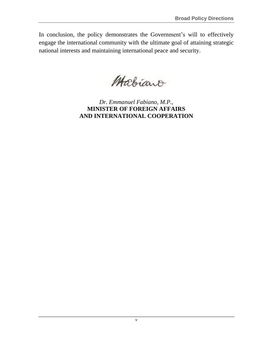In conclusion, the policy demonstrates the Government's will to effectively engage the international community with the ultimate goal of attaining strategic national interests and maintaining international peace and security.

Mabiano

*Dr. Emmanuel Fabiano, M.P.,* **MINISTER OF FOREIGN AFFAIRS AND INTERNATIONAL COOPERATION**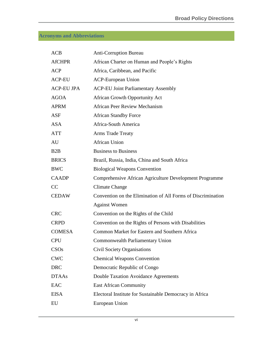# <span id="page-7-0"></span>**Acronyms and Abbreviations**

| <b>ACB</b>        | <b>Anti-Corruption Bureau</b>                                |
|-------------------|--------------------------------------------------------------|
| <b>AfCHPR</b>     | African Charter on Human and People's Rights                 |
| <b>ACP</b>        | Africa, Caribbean, and Pacific                               |
| <b>ACP-EU</b>     | <b>ACP-European Union</b>                                    |
| <b>ACP-EU JPA</b> | <b>ACP-EU Joint Parliamentary Assembly</b>                   |
| <b>AGOA</b>       | <b>African Growth Opportunity Act</b>                        |
| <b>APRM</b>       | <b>African Peer Review Mechanism</b>                         |
| <b>ASF</b>        | <b>African Standby Force</b>                                 |
| <b>ASA</b>        | Africa-South America                                         |
| <b>ATT</b>        | <b>Arms Trade Treaty</b>                                     |
| AU                | <b>African Union</b>                                         |
| B2B               | <b>Business to Business</b>                                  |
| <b>BRICS</b>      | Brazil, Russia, India, China and South Africa                |
| <b>BWC</b>        | <b>Biological Weapons Convention</b>                         |
| <b>CAADP</b>      | Comprehensive African Agriculture Development Programme      |
| CC                | <b>Climate Change</b>                                        |
| <b>CEDAW</b>      | Convention on the Elimination of All Forms of Discrimination |
|                   | <b>Against Women</b>                                         |
| <b>CRC</b>        | Convention on the Rights of the Child                        |
| <b>CRPD</b>       | Convention on the Rights of Persons with Disabilities        |
| <b>COMESA</b>     | Common Market for Eastern and Southern Africa                |
| <b>CPU</b>        | Commonwealth Parliamentary Union                             |
| CSO <sub>s</sub>  | <b>Civil Society Organisations</b>                           |
| <b>CWC</b>        | <b>Chemical Weapons Convention</b>                           |
| <b>DRC</b>        | Democratic Republic of Congo                                 |
| <b>DTAAs</b>      | Double Taxation Avoidance Agreements                         |
| <b>EAC</b>        | <b>East African Community</b>                                |
| <b>EISA</b>       | Electoral Institute for Sustainable Democracy in Africa      |
| EU                | European Union                                               |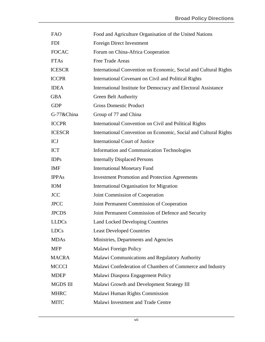| <b>FAO</b>      | Food and Agriculture Organisation of the United Nations          |
|-----------------|------------------------------------------------------------------|
| <b>FDI</b>      | Foreign Direct Investment                                        |
| <b>FOCAC</b>    | Forum on China-Africa Cooperation                                |
| <b>FTAs</b>     | Free Trade Areas                                                 |
| <b>ICESCR</b>   | International Convention on Economic, Social and Cultural Rights |
| <b>ICCPR</b>    | International Covenant on Civil and Political Rights             |
| <b>IDEA</b>     | International Institute for Democracy and Electoral Assistance   |
| <b>GBA</b>      | <b>Green Belt Authority</b>                                      |
| <b>GDP</b>      | <b>Gross Domestic Product</b>                                    |
| G-77&China      | Group of 77 and China                                            |
| <b>ICCPR</b>    | International Convention on Civil and Political Rights           |
| <b>ICESCR</b>   | International Convention on Economic, Social and Cultural Rights |
| <b>ICJ</b>      | <b>International Court of Justice</b>                            |
| <b>ICT</b>      | <b>Information and Communication Technologies</b>                |
| <b>IDPs</b>     | <b>Internally Displaced Persons</b>                              |
| <b>IMF</b>      | <b>International Monetary Fund</b>                               |
| <b>IPPAs</b>    | <b>Investment Promotion and Protection Agreements</b>            |
| IOM             | <b>International Organisation for Migration</b>                  |
| <b>JCC</b>      | Joint Commission of Cooperation                                  |
| <b>JPCC</b>     | Joint Permanent Commission of Cooperation                        |
| <b>JPCDS</b>    | Joint Permanent Commission of Defence and Security               |
| <b>LLDCs</b>    | <b>Land Locked Developing Countries</b>                          |
| <b>LDCs</b>     | <b>Least Developed Countries</b>                                 |
| <b>MDAs</b>     | Ministries, Departments and Agencies                             |
| <b>MFP</b>      | Malawi Foreign Policy                                            |
| <b>MACRA</b>    | Malawi Communications and Regulatory Authority                   |
| <b>MCCCI</b>    | Malawi Confederation of Chambers of Commerce and Industry        |
| <b>MDEP</b>     | Malawi Diaspora Engagement Policy                                |
| <b>MGDS III</b> | Malawi Growth and Development Strategy III                       |
| <b>MHRC</b>     | Malawi Human Rights Commission                                   |
| <b>MITC</b>     | Malawi Investment and Trade Centre                               |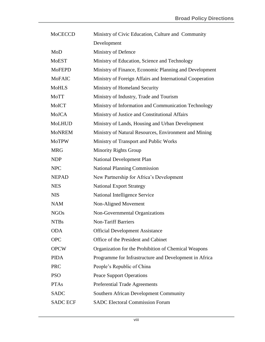| <b>MoCECCD</b>  | Ministry of Civic Education, Culture and Community        |
|-----------------|-----------------------------------------------------------|
|                 | Development                                               |
| MoD             | Ministry of Defence                                       |
| <b>MoEST</b>    | Ministry of Education, Science and Technology             |
| <b>MoFEPD</b>   | Ministry of Finance, Economic Planning and Development    |
| <b>MoFAIC</b>   | Ministry of Foreign Affairs and International Cooperation |
| <b>MoHLS</b>    | Ministry of Homeland Security                             |
| MoTT            | Ministry of Industry, Trade and Tourism                   |
| MoICT           | Ministry of Information and Communication Technology      |
| MoJCA           | Ministry of Justice and Constitutional Affairs            |
| <b>MoLHUD</b>   | Ministry of Lands, Housing and Urban Development          |
| <b>MoNREM</b>   | Ministry of Natural Resources, Environment and Mining     |
| <b>MoTPW</b>    | Ministry of Transport and Public Works                    |
| <b>MRG</b>      | <b>Minority Rights Group</b>                              |
| <b>NDP</b>      | National Development Plan                                 |
| <b>NPC</b>      | <b>National Planning Commission</b>                       |
| <b>NEPAD</b>    | New Partnership for Africa's Development                  |
| <b>NES</b>      | <b>National Export Strategy</b>                           |
| <b>NIS</b>      | National Intelligence Service                             |
| <b>NAM</b>      | Non-Aligned Movement                                      |
| <b>NGOs</b>     | Non-Governmental Organizations                            |
| <b>NTBs</b>     | <b>Non-Tariff Barriers</b>                                |
| <b>ODA</b>      | <b>Official Development Assistance</b>                    |
| <b>OPC</b>      | Office of the President and Cabinet                       |
| <b>OPCW</b>     | Organization for the Prohibition of Chemical Weapons      |
| <b>PIDA</b>     | Programme for Infrastructure and Development in Africa    |
| <b>PRC</b>      | People's Republic of China                                |
| <b>PSO</b>      | <b>Peace Support Operations</b>                           |
| <b>PTAs</b>     | Preferential Trade Agreements                             |
| <b>SADC</b>     | Southern African Development Community                    |
| <b>SADC ECF</b> | <b>SADC Electoral Commission Forum</b>                    |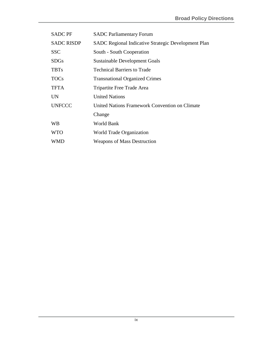| <b>SADC PF</b>    | <b>SADC Parliamentary Forum</b>                            |
|-------------------|------------------------------------------------------------|
| <b>SADC RISDP</b> | <b>SADC Regional Indicative Strategic Development Plan</b> |
| <b>SSC</b>        | South - South Cooperation                                  |
| <b>SDGs</b>       | <b>Sustainable Development Goals</b>                       |
| <b>TBTs</b>       | <b>Technical Barriers to Trade</b>                         |
| <b>TOCs</b>       | <b>Transnational Organized Crimes</b>                      |
| <b>TFTA</b>       | Tripartite Free Trade Area                                 |
| UN                | <b>United Nations</b>                                      |
| <b>UNFCCC</b>     | United Nations Framework Convention on Climate             |
|                   | Change                                                     |
| <b>WB</b>         | World Bank                                                 |
| <b>WTO</b>        | World Trade Organization                                   |
| WMD               | <b>Weapons of Mass Destruction</b>                         |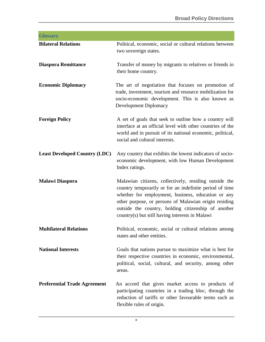<span id="page-11-0"></span>

| <b>Glossary</b>                      |                                                                                                                                                                                                                                                                                                                                           |
|--------------------------------------|-------------------------------------------------------------------------------------------------------------------------------------------------------------------------------------------------------------------------------------------------------------------------------------------------------------------------------------------|
| <b>Bilateral Relations</b>           | Political, economic, social or cultural relations between<br>two sovereign states.                                                                                                                                                                                                                                                        |
| <b>Diaspora Remittance</b>           | Transfer of money by migrants to relatives or friends in<br>their home country.                                                                                                                                                                                                                                                           |
| <b>Economic Diplomacy</b>            | The art of negotiation that focuses on promotion of<br>trade, investment, tourism and resource mobilization for<br>socio-economic development. This is also known as<br>Development Diplomacy                                                                                                                                             |
| <b>Foreign Policy</b>                | A set of goals that seek to outline how a country will<br>interface at an official level with other countries of the<br>world and in pursuit of its national economic, political,<br>social and cultural interests.                                                                                                                       |
| <b>Least Developed Country (LDC)</b> | Any country that exhibits the lowest indicators of socio-<br>economic development, with low Human Development<br>Index ratings.                                                                                                                                                                                                           |
| <b>Malawi Diaspora</b>               | Malawian citizens, collectively, residing outside the<br>country temporarily or for an indefinite period of time<br>whether for employment, business, education or any<br>other purpose, or persons of Malawian origin residing<br>outside the country, holding citizenship of another<br>country(s) but still having interests in Malawi |
| <b>Multilateral Relations</b>        | Political, economic, social or cultural relations among<br>states and other entities.                                                                                                                                                                                                                                                     |
| <b>National Interests</b>            | Goals that nations pursue to maximize what is best for<br>their respective countries in economic, environmental,<br>political, social, cultural, and security, among other<br>areas.                                                                                                                                                      |
| <b>Preferential Trade Agreement</b>  | An accord that gives market access to products of<br>participating countries in a trading bloc, through the<br>reduction of tariffs or other favourable terms such as<br>flexible rules of origin.                                                                                                                                        |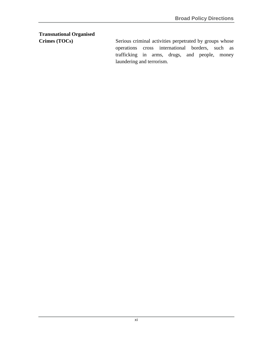# **Transnational Organised**

<span id="page-12-0"></span>**Crimes (TOCs)** Serious criminal activities perpetrated by groups whose operations cross international borders, such as trafficking in arms, drugs, and people, money laundering and terrorism.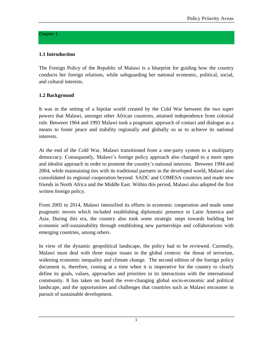#### Chapter 1

## **1.1 Introduction**

The Foreign Policy of the Republic of Malawi is a blueprint for guiding how the country conducts her foreign relations, while safeguarding her national economic, political, social, and cultural interests.

# **1.2 Background**

It was in the setting of a bipolar world created by the Cold War between the two super powers that Malawi, amongst other African countries, attained independence from colonial rule. Between 1964 and 1993 Malawi took a pragmatic approach of contact and dialogue as a means to foster peace and stability regionally and globally so as to achieve its national interests.

At the end of the Cold War, Malawi transitioned from a one-party system to a multiparty democracy. Consequently, Malawi's foreign policy approach also changed to a more open and idealist approach in order to promote the country's national interests. Between 1994 and 2004, while maintaining ties with its traditional partners in the developed world, Malawi also consolidated its regional cooperation beyond SADC and COMESA countries and made new friends in North Africa and the Middle East. Within this period, Malawi also adopted the first written foreign policy.

From 2005 to 2014, Malawi intensified its efforts in economic cooperation and made some pragmatic moves which included establishing diplomatic presence in Latin America and Asia. During this era, the country also took some strategic steps towards building her economic self-sustainability through establishing new partnerships and collaborations with emerging countries, among others.

In view of the dynamic geopolitical landscape, the policy had to be reviewed. Currently, Malawi must deal with three major issues in the global context: the threat of terrorism, widening economic inequality and climate change. The second edition of the foreign policy document is, therefore, coming at a time when it is imperative for the country to clearly define its goals, values, approaches and priorities in its interactions with the international community. It has taken on board the ever-changing global socio-economic and political landscape, and the opportunities and challenges that countries such as Malawi encounter in pursuit of sustainable development.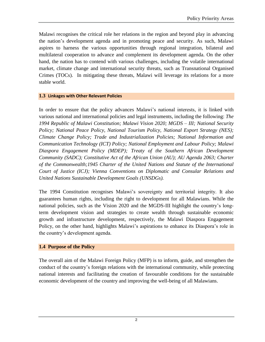Malawi recognises the critical role her relations in the region and beyond play in advancing the nation's development agenda and in promoting peace and security. As such, Malawi aspires to harness the various opportunities through regional integration, bilateral and multilateral cooperation to advance and complement its development agenda. On the other hand, the nation has to contend with various challenges, including the volatile international market, climate change and international security threats, such as Transnational Organised Crimes (TOCs). In mitigating these threats, Malawi will leverage its relations for a more stable world.

#### <span id="page-15-0"></span>**1.3 Linkages with Other Relevant Policies**

In order to ensure that the policy advances Malawi's national interests, it is linked with various national and international policies and legal instruments, including the following: *The 1994 Republic of Malawi Constitution; Malawi Vision 2020; MGDS – III; National Security Policy; National Peace Policy, National Tourism Policy, National Export Strategy (NES); Climate Change Policy; Trade and Industrialization Policies; National Information and Communication Technology (ICT) Policy; National Employment and Labour Policy; Malawi Diaspora Engagement Policy (MDEP); Treaty of the Southern African Development Community (SADC); Constitutive Act of the African Union (AU); AU Agenda 2063; Charter of the Commonwealth;1945 Charter of the United Nations and Statute of the International Court of Justice (ICJ); Vienna Conventions on Diplomatic and Consular Relations and United Nations Sustainable Development Goals (UNSDGs).* 

The 1994 Constitution recognises Malawi's sovereignty and territorial integrity. It also guarantees human rights, including the right to development for all Malawians. While the national policies, such as the Vision 2020 and the MGDS-III highlight the country's longterm development vision and strategies to create wealth through sustainable economic growth and infrastructure development, respectively, the Malawi Diaspora Engagement Policy, on the other hand, highlights Malawi's aspirations to enhance its Diaspora's role in the country's development agenda.

#### **1.4 Purpose of the Policy**

The overall aim of the Malawi Foreign Policy (MFP) is to inform, guide, and strengthen the conduct of the country's foreign relations with the international community, while protecting national interests and facilitating the creation of favourable conditions for the sustainable economic development of the country and improving the well-being of all Malawians.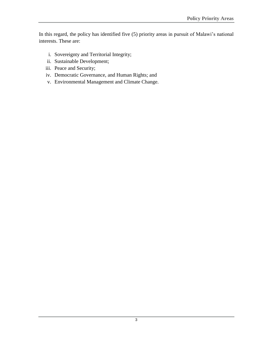In this regard, the policy has identified five (5) priority areas in pursuit of Malawi's national interests. These are:

- i. Sovereignty and Territorial Integrity;
- ii. Sustainable Development;
- iii. Peace and Security;
- iv. Democratic Governance, and Human Rights; and
- v. Environmental Management and Climate Change.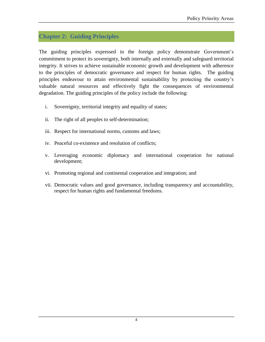# <span id="page-17-0"></span>**Chapter 2: Guiding Principles**

The guiding principles expressed in the foreign policy demonstrate Government's commitment to protect its sovereignty, both internally and externally and safeguard territorial integrity. It strives to achieve sustainable economic growth and development with adherence to the principles of democratic governance and respect for human rights. The guiding principles endeavour to attain environmental sustainability by protecting the country's valuable natural resources and effectively fight the consequences of environmental degradation. The guiding principles of the policy include the following:

- i. Sovereignty, territorial integrity and equality of states;
- ii. The right of all peoples to self-determination;
- iii. Respect for international norms, customs and laws;
- iv. Peaceful co-existence and resolution of conflicts;
- v. Leveraging economic diplomacy and international cooperation for national development;
- vi. Promoting regional and continental cooperation and integration; and
- vii. Democratic values and good governance, including transparency and accountability, respect for human rights and fundamental freedoms.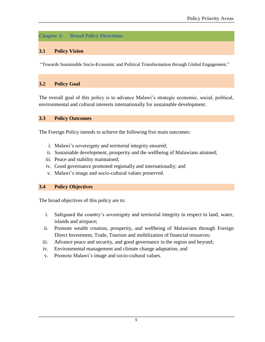# <span id="page-18-0"></span>**Chapter 3: Broad Policy Directions**

#### <span id="page-18-1"></span>**3.1 Policy Vision**

"Towards Sustainable Socio-Economic and Political Transformation through Global Engagement."

#### **3.2 Policy Goal**

The overall goal of this policy is to advance Malawi's strategic economic, social, political, environmental and cultural interests internationally for sustainable development.

#### <span id="page-18-2"></span>**3.3 Policy Outcomes**

The Foreign Policy intends to achieve the following five main outcomes:

- i. Malawi's sovereignty and territorial integrity ensured;
- ii. Sustainable development, prosperity and the wellbeing of Malawians attained;
- iii. Peace and stability maintained;
- iv. Good governance promoted regionally and internationally; and
- v. Malawi's image and socio-cultural values preserved.

#### <span id="page-18-3"></span>**3.4 Policy Objectives**

The broad objectives of this policy are to:

- i. Safeguard the country's sovereignty and territorial integrity in respect to land, water, islands and airspace;
- ii. Promote wealth creation, prosperity, and wellbeing of Malawians through Foreign Direct Investment, Trade, Tourism and mobilization of financial resources;
- iii. Advance peace and security, and good governance in the region and beyond;
- iv. Environmental management and climate change adaptation; and
- v. Promote Malawi's image and socio-cultural values.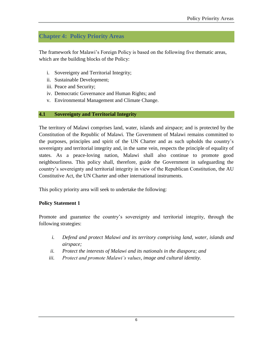# <span id="page-19-0"></span>**Chapter 4: Policy Priority Areas**

The framework for Malawi's Foreign Policy is based on the following five thematic areas, which are the building blocks of the Policy:

- i. Sovereignty and Territorial Integrity;
- ii. Sustainable Development;
- iii. Peace and Security;
- iv. Democratic Governance and Human Rights; and
- v. Environmental Management and Climate Change.

#### <span id="page-19-1"></span>**4.1 Sovereignty and Territorial Integrity**

The territory of Malawi comprises land, water, islands and airspace; and is protected by the Constitution of the Republic of Malawi. The Government of Malawi remains committed to the purposes, principles and spirit of the UN Charter and as such upholds the country's sovereignty and territorial integrity and, in the same vein, respects the principle of equality of states. As a peace-loving nation, Malawi shall also continue to promote good neighbourliness. This policy shall, therefore, guide the Government in safeguarding the country's sovereignty and territorial integrity in view of the Republican Constitution, the AU Constitutive Act, the UN Charter and other international instruments.

This policy priority area will seek to undertake the following:

#### **Policy Statement 1**

Promote and guarantee the country's sovereignty and territorial integrity, through the following strategies:

- *i. Defend and protect Malawi and its territory comprising land, water, islands and airspace;*
- *ii. Protect the interests of Malawi and its nationals in the diaspora; and*
- *iii. Protect and promote Malawi's values, image and cultural identity.*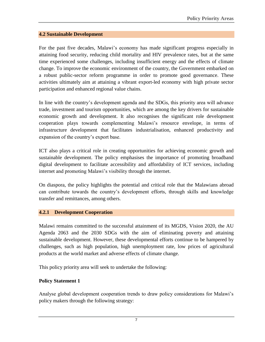#### **4.2 Sustainable Development**

For the past five decades, Malawi's economy has made significant progress especially in attaining food security, reducing child mortality and HIV prevalence rates, but at the same time experienced some challenges, including insufficient energy and the effects of climate change. To improve the economic environment of the country, the Government embarked on a robust public-sector reform programme in order to promote good governance. These activities ultimately aim at attaining a vibrant export-led economy with high private sector participation and enhanced regional value chains.

In line with the country's development agenda and the SDGs, this priority area will advance trade, investment and tourism opportunities, which are among the key drivers for sustainable economic growth and development. It also recognises the significant role development cooperation plays towards complementing Malawi's resource envelope, in terms of infrastructure development that facilitates industrialisation, enhanced productivity and expansion of the country's export base.

ICT also plays a critical role in creating opportunities for achieving economic growth and sustainable development. The policy emphasises the importance of promoting broadband digital development to facilitate accessibility and affordability of ICT services, including internet and promoting Malawi's visibility through the internet.

On diaspora, the policy highlights the potential and critical role that the Malawians abroad can contribute towards the country's development efforts, through skills and knowledge transfer and remittances, among others.

#### **4.2.1 Development Cooperation**

Malawi remains committed to the successful attainment of its MGDS, Vision 2020, the AU Agenda 2063 and the 2030 SDGs with the aim of eliminating poverty and attaining sustainable development. However, these developmental efforts continue to be hampered by challenges, such as high population, high unemployment rate, low prices of agricultural products at the world market and adverse effects of climate change.

This policy priority area will seek to undertake the following:

#### **Policy Statement 1**

Analyse global development cooperation trends to draw policy considerations for Malawi's policy makers through the following strategy: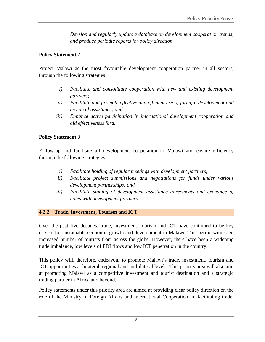*Develop and regularly update a database on development cooperation trends, and produce periodic reports for policy direction.*

## **Policy Statement 2**

Project Malawi as the most favourable development cooperation partner in all sectors, through the following strategies:

- *i) Facilitate and consolidate cooperation with new and existing development partners;*
- *ii) Facilitate and promote effective and efficient use of foreign development and technical assistance; and*
- *iii) Enhance active participation in international development cooperation and aid effectiveness fora.*

#### **Policy Statement 3**

Follow-up and facilitate all development cooperation to Malawi and ensure efficiency through the following strategies:

- *i) Facilitate holding of regular meetings with development partners;*
- *ii) Facilitate project submissions and negotiations for funds under various development partnerships; and*
- *iii) Facilitate signing of development assistance agreements and exchange of notes with development partners.*

#### **4.2.2 Trade, Investment, Tourism and ICT**

Over the past five decades, trade, investment, tourism and ICT have continued to be key drivers for sustainable economic growth and development in Malawi. This period witnessed increased number of tourists from across the globe. However, there have been a widening trade imbalance, low levels of FDI flows and low ICT penetration in the country.

This policy will, therefore, endeavour to promote Malawi's trade, investment, tourism and ICT opportunities at bilateral, regional and multilateral levels. This priority area will also aim at promoting Malawi as a competitive investment and tourist destination and a strategic trading partner in Africa and beyond.

Policy statements under this priority area are aimed at providing clear policy direction on the role of the Ministry of Foreign Affairs and International Cooperation, in facilitating trade,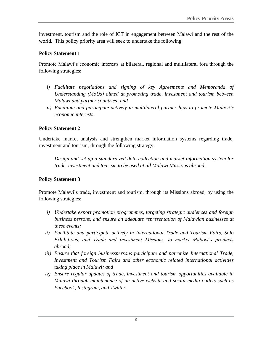investment, tourism and the role of ICT in engagement between Malawi and the rest of the world. This policy priority area will seek to undertake the following:

## **Policy Statement 1**

Promote Malawi's economic interests at bilateral, regional and multilateral fora through the following strategies:

- *i) Facilitate negotiations and signing of key Agreements and Memoranda of Understanding (MoUs) aimed at promoting trade, investment and tourism between Malawi and partner countries; and*
- *ii) Facilitate and participate actively in multilateral partnerships to promote Malawi's economic interests.*

# **Policy Statement 2**

Undertake market analysis and strengthen market information systems regarding trade, investment and tourism, through the following strategy:

*Design and set up a standardized data collection and market information system for trade, investment and tourism to be used at all Malawi Missions abroad.*

# **Policy Statement 3**

Promote Malawi's trade, investment and tourism, through its Missions abroad, by using the following strategies:

- *i) Undertake export promotion programmes, targeting strategic audiences and foreign business persons, and ensure an adequate representation of Malawian businesses at these events;*
- *ii) Facilitate and participate actively in International Trade and Tourism Fairs, Solo Exhibitions, and Trade and Investment Missions, to market Malawi's products abroad;*
- *iii) Ensure that foreign businesspersons participate and patronize International Trade, Investment and Tourism Fairs and other economic related international activities taking place in Malawi; and*
- *iv) Ensure regular updates of trade, investment and tourism opportunities available in Malawi through maintenance of an active website and social media outlets such as Facebook, Instagram, and Twitter.*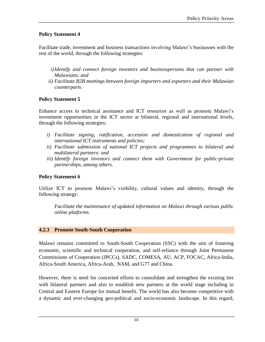# **Policy Statement 4**

Facilitate trade, investment and business transactions involving Malawi's businesses with the rest of the world, through the following strategies:

- *i)Identify and connect foreign investors and businesspersons that can partner with Malawians; and*
- *ii) Facilitate B2B meetings between foreign importers and exporters and their Malawian counterparts.*

# **Policy Statement 5**

Enhance access to technical assistance and ICT resources as well as promote Malawi's investment opportunities in the ICT sector at bilateral, regional and international levels, through the following strategies:

- *i) Facilitate signing, ratification, accession and domestication of regional and international ICT instruments and policies;*
- *ii) Facilitate submission of national ICT projects and programmes to bilateral and multilateral partners: and*
- *iii) Identify foreign investors and connect them with Government for public-private partnerships, among others.*

# **Policy Statement 6**

Utilize ICT to promote Malawi's visibility, cultural values and identity, through the following strategy:

*Facilitate the maintenance of updated information on Malawi through various public online platforms.*

#### **4.2.3 Promote South-South Cooperation**

Malawi remains committed to South-South Cooperation (SSC) with the aim of fostering economic, scientific and technical cooperation, and self-reliance through Joint Permanent Commissions of Cooperation (JPCCs), SADC, COMESA, AU, ACP, FOCAC, Africa-India, Africa-South America, Africa-Arab, NAM, and G77 and China.

However, there is need for concerted efforts to consolidate and strengthen the existing ties with bilateral partners and also to establish new partners at the world stage including in Central and Eastern Europe for mutual benefit. The world has also become competitive with a dynamic and ever-changing geo-political and socio-economic landscape. In this regard,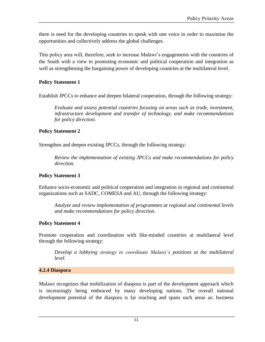there is need for the developing countries to speak with one voice in order to maximise the opportunities and collectively address the global challenges.

This policy area will, therefore, seek to increase Malawi's engagements with the countries of the South with a view to promoting economic and political cooperation and integration as well as strengthening the bargaining power of developing countries at the multilateral level.

## **Policy Statement 1**

Establish JPCCs to enhance and deepen bilateral cooperation, through the following strategy:

*Evaluate and assess potential countries focusing on areas such as trade, investment, infrastructure development and transfer of technology, and make recommendations for policy direction.*

#### **Policy Statement 2**

Strengthen and deepen existing JPCCs, through the following strategy:

*Review the implementation of existing JPCCs and make recommendations for policy direction.*

#### **Policy Statement 3**

Enhance socio-economic and political cooperation and integration in regional and continental organizations such as SADC, COMESA and AU, through the following strategy:

*Analyze and review implementation of programmes at regional and continental levels and make recommendations for policy direction.*

# **Policy Statement 4**

Promote cooperation and coordination with like-minded countries at multilateral level through the following strategy:

*Develop a lobbying strategy to coordinate Malawi's positions at the multilateral level.*

#### **4.2.4 Diaspora**

Malawi recognizes that mobilization of diaspora is part of the development approach which is increasingly being embraced by many developing nations. The overall national development potential of the diaspora is far reaching and spans such areas as: business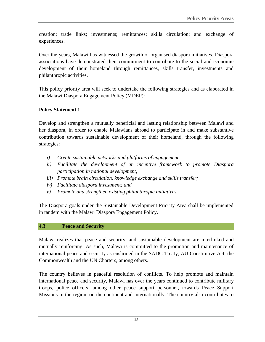creation; trade links; investments; remittances; skills circulation; and exchange of experiences.

Over the years, Malawi has witnessed the growth of organised diaspora initiatives. Diaspora associations have demonstrated their commitment to contribute to the social and economic development of their homeland through remittances, skills transfer, investments and philanthropic activities.

This policy priority area will seek to undertake the following strategies and as elaborated in the Malawi Diaspora Engagement Policy (MDEP):

# **Policy Statement 1**

Develop and strengthen a mutually beneficial and lasting relationship between Malawi and her diaspora, in order to enable Malawians abroad to participate in and make substantive contribution towards sustainable development of their homeland, through the following strategies:

- *i) Create sustainable networks and platforms of engagement;*
- *ii) Facilitate the development of an incentive framework to promote Diaspora participation in national development;*
- *iii) Promote brain circulation, knowledge exchange and skills transfer;*
- *iv) Facilitate diaspora investment; and*
- *v) Promote and strengthen existing philanthropic initiatives.*

The Diaspora goals under the Sustainable Development Priority Area shall be implemented in tandem with the Malawi Diaspora Engagement Policy.

#### <span id="page-25-0"></span>**4.3 Peace and Security**

Malawi realizes that peace and security, and sustainable development are interlinked and mutually reinforcing. As such, Malawi is committed to the promotion and maintenance of international peace and security as enshrined in the SADC Treaty, AU Constitutive Act, the Commonwealth and the UN Charters, among others.

The country believes in peaceful resolution of conflicts. To help promote and maintain international peace and security, Malawi has over the years continued to contribute military troops, police officers, among other peace support personnel, towards Peace Support Missions in the region, on the continent and internationally. The country also contributes to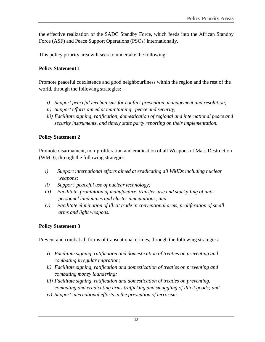the effective realization of the SADC Standby Force, which feeds into the African Standby Force (ASF) and Peace Support Operations (PSOs) internationally.

This policy priority area will seek to undertake the following:

# **Policy Statement 1**

Promote peaceful coexistence and good neighbourliness within the region and the rest of the world, through the following strategies:

- *i) Support peaceful mechanisms for conflict prevention, management and resolution;*
- *ii) Support efforts aimed at maintaining peace and security;*
- *iii) Facilitate signing, ratification, domestication of regional and international peace and security instruments, and timely state party reporting on their implementation.*

# **Policy Statement 2**

Promote disarmament, non-proliferation and eradication of all Weapons of Mass Destruction (WMD), through the following strategies:

- *i) Support international efforts aimed at eradicating all WMDs including nuclear weapons;*
- *ii) Support peaceful use of nuclear technology;*
- iii) Facilitate prohibition of manufacture, transfer, use and stockpiling of anti*personnel land mines and cluster ammunitions; and*
- *iv) Facilitate elimination of illicit trade in conventional arms, proliferation of small arms and light weapons.*

# **Policy Statement 3**

Prevent and combat all forms of transnational crimes, through the following strategies:

- i) *Facilitate signing, ratification and domestication of treaties on preventing and combating irregular migration;*
- *ii) Facilitate signing, ratification and domestication of treaties on preventing and combating money laundering;*
- *iii) Facilitate signing, ratification and domestication of treaties on preventing, combating and eradicating arms trafficking and smuggling of illicit goods; and*
- *iv) Support international efforts in the prevention of terrorism.*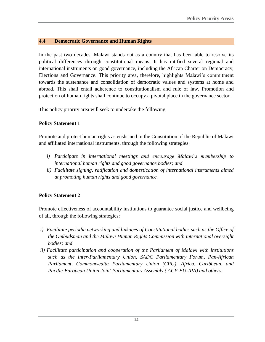## <span id="page-27-0"></span>**4.4 Democratic Governance and Human Rights**

In the past two decades, Malawi stands out as a country that has been able to resolve its political differences through constitutional means. It has ratified several regional and international instruments on good governance, including the African Charter on Democracy, Elections and Governance. This priority area, therefore, highlights Malawi's commitment towards the sustenance and consolidation of democratic values and systems at home and abroad. This shall entail adherence to constitutionalism and rule of law. Promotion and protection of human rights shall continue to occupy a pivotal place in the governance sector.

This policy priority area will seek to undertake the following:

# **Policy Statement 1**

Promote and protect human rights as enshrined in the Constitution of the Republic of Malawi and affiliated international instruments, through the following strategies:

- *i) Participate in international meetings and encourage Malawi's membership to international human rights and good governance bodies; and*
- *ii) Facilitate signing, ratification and domestication of international instruments aimed at promoting human rights and good governance.*

# **Policy Statement 2**

Promote effectiveness of accountability institutions to guarantee social justice and wellbeing of all, through the following strategies:

- *i) Facilitate periodic networking and linkages of Constitutional bodies such as the Office of the Ombudsman and the Malawi Human Rights Commission with international oversight bodies; and*
- *ii) Facilitate participation and cooperation of the Parliament of Malawi with institutions such as the Inter-Parliamentary Union, SADC Parliamentary Forum, Pan-African Parliament, Commonwealth Parliamentary Union (CPU), Africa, Caribbean, and Pacific-European Union Joint Parliamentary Assembly ( ACP-EU JPA) and others.*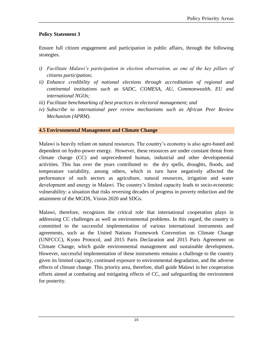# **Policy Statement 3**

Ensure full citizen engagement and participation in public affairs, through the following strategies.

- *i) Facilitate Malawi's participation in election observation, as one of the key pillars of citizens participation;*
- *ii) Enhance credibility of national elections through accreditation of regional and continental institutions such as SADC, COMESA, AU, Commonwealth, EU and international NGOs;*
- *iii) Facilitate benchmarking of best practices in electoral management; and*
- *iv) Subscribe to international peer review mechanisms such as African Peer Review Mechanism (APRM).*

#### **4.5 Environmental Management and Climate Change**

Malawi is heavily reliant on natural resources. The country's economy is also agro-based and dependent on hydro-power energy. However, these resources are under constant threat from climate change (CC) and unprecedented human, industrial and other developmental activities. This has over the years contributed to the dry spells, droughts, floods, and temperature variability, among others, which in turn have negatively affected the performance of such sectors as agriculture, natural resources, irrigation and water development and energy in Malawi. The country's limited capacity leads to socio-economic vulnerability: a situation that risks reversing decades of progress in poverty reduction and the attainment of the MGDS, Vision 2020 and SDGs.

Malawi, therefore, recognizes the critical role that international cooperation plays in addressing CC challenges as well as environmental problems. In this regard, the country is committed to the successful implementation of various international instruments and agreements, such as the United Nations Framework Convention on Climate Change (UNFCCC), Kyoto Protocol, and 2015 Paris Declaration and 2015 Paris Agreement on Climate Change, which guide environmental management and sustainable development**.**  However, successful implementation of these instruments remains a challenge to the country given its limited capacity, continued exposure to environmental degradation, and the adverse effects of climate change. This priority area, therefore, shall guide Malawi in her cooperation efforts aimed at combating and mitigating effects of CC, and safeguarding the environment for posterity.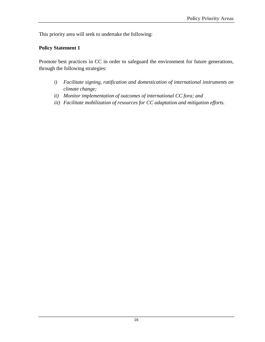This priority area will seek to undertake the following:

#### **Policy Statement 1**

Promote best practices in CC in order to safeguard the environment for future generations, through the following strategies:

- *i) Facilitate signing, ratification and domestication of international instruments on climate change;*
- *ii) Monitor implementation of outcomes of international CC fora; and*
- *iii) Facilitate mobilization of resources for CC adaptation and mitigation efforts.*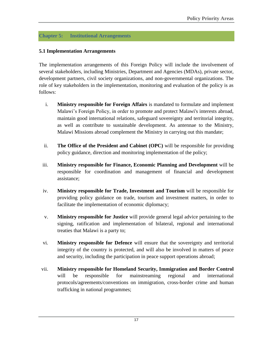# <span id="page-30-0"></span>**Chapter 5: Institutional Arrangements**

## **5.1 Implementation Arrangements**

The implementation arrangements of this Foreign Policy will include the involvement of several stakeholders, including Ministries, Department and Agencies (MDAs), private sector, development partners, civil society organizations, and non-governmental organizations. The role of key stakeholders in the implementation, monitoring and evaluation of the policy is as follows:

- i. **Ministry responsible for Foreign Affairs** is mandated to formulate and implement Malawi's Foreign Policy, in order to promote and protect Malawi's interests abroad, maintain good international relations, safeguard sovereignty and territorial integrity, as well as contribute to sustainable development. As antennae to the Ministry, Malawi Missions abroad complement the Ministry in carrying out this mandate;
- ii. **The Office of the President and Cabinet (OPC)** will be responsible for providing policy guidance, direction and monitoring implementation of the policy;
- iii. **Ministry responsible for Finance, Economic Planning and Development** will be responsible for coordination and management of financial and development assistance;
- iv. **Ministry responsible for Trade, Investment and Tourism** will be responsible for providing policy guidance on trade, tourism and investment matters, in order to facilitate the implementation of economic diplomacy;
- v. **Ministry responsible for Justice** will provide general legal advice pertaining to the signing, ratification and implementation of bilateral, regional and international treaties that Malawi is a party to;
- vi. **Ministry responsible for Defence** will ensure that the sovereignty and territorial integrity of the country is protected, and will also be involved in matters of peace and security, including the participation in peace support operations abroad;
- vii. **Ministry responsible for Homeland Security, Immigration and Border Control**  will be responsible for mainstreaming regional and international protocols/agreements/conventions on immigration, cross-border crime and human trafficking in national programmes;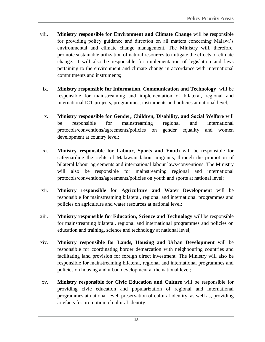- viii. **Ministry responsible for Environment and Climate Change** will be responsible for providing policy guidance and direction on all matters concerning Malawi's environmental and climate change management. The Ministry will, therefore, promote sustainable utilization of natural resources to mitigate the effects of climate change. It will also be responsible for implementation of legislation and laws pertaining to the environment and climate change in accordance with international commitments and instruments;
- ix. **Ministry responsible for Information, Communication and Technology** will be responsible for mainstreaming and implementation of bilateral, regional and international ICT projects, programmes, instruments and policies at national level;
- x. **Ministry responsible for Gender, Children, Disability, and Social Welfare** will be responsible for mainstreaming regional and international protocols/conventions/agreements/policies on gender equality and women development at country level;
- xi. **Ministry responsible for Labour, Sports and Youth** will be responsible for safeguarding the rights of Malawian labour migrants, through the promotion of bilateral labour agreements and international labour laws/conventions. The Ministry will also be responsible for mainstreaming regional and international protocols/conventions/agreements/policies on youth and sports at national level;
- xii. **Ministry responsible for Agriculture and Water Development** will be responsible for mainstreaming bilateral, regional and international programmes and policies on agriculture and water resources at national level;
- xiii. **Ministry responsible for Education, Science and Technology** will be responsible for mainstreaming bilateral, regional and international programmes and policies on education and training, science and technology at national level;
- xiv. **Ministry responsible for Lands, Housing and Urban Development** will be responsible for coordinating border demarcation with neighbouring countries and facilitating land provision for foreign direct investment. The Ministry will also be responsible for mainstreaming bilateral, regional and international programmes and policies on housing and urban development at the national level;
- xv. **Ministry responsible for Civic Education and Culture** will be responsible for providing civic education and popularization of regional and international programmes at national level, preservation of cultural identity, as well as, providing artefacts for promotion of cultural identity;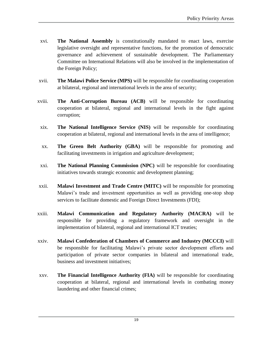- xvi. **The National Assembly** is constitutionally mandated to enact laws, exercise legislative oversight and representative functions, for the promotion of democratic governance and achievement of sustainable development. The Parliamentary Committee on International Relations will also be involved in the implementation of the Foreign Policy;
- xvii. **The Malawi Police Service (MPS)** will be responsible for coordinating cooperation at bilateral, regional and international levels in the area of security;
- xviii. **The Anti-Corruption Bureau (ACB)** will be responsible for coordinating cooperation at bilateral, regional and international levels in the fight against corruption;
	- xix. **The National Intelligence Service (NIS)** will be responsible for coordinating cooperation at bilateral, regional and international levels in the area of intelligence;
	- xx. **The Green Belt Authority (GBA)** will be responsible for promoting and facilitating investments in irrigation and agriculture development;
	- xxi. **The National Planning Commission (NPC)** will be responsible for coordinating initiatives towards strategic economic and development planning;
- xxii. **Malawi Investment and Trade Centre (MITC)** will be responsible for promoting Malawi's trade and investment opportunities as well as providing one-stop shop services to facilitate domestic and Foreign Direct Investments (FDI);
- xxiii. **Malawi Communication and Regulatory Authority (MACRA)** will be responsible for providing a regulatory framework and oversight in the implementation of bilateral, regional and international ICT treaties;
- xxiv. **Malawi Confederation of Chambers of Commerce and Industry (MCCCI)** will be responsible for facilitating Malawi's private sector development efforts and participation of private sector companies in bilateral and international trade, business and investment initiatives;
- xxv. **The Financial Intelligence Authority (FIA)** will be responsible for coordinating cooperation at bilateral, regional and international levels in combating money laundering and other financial crimes;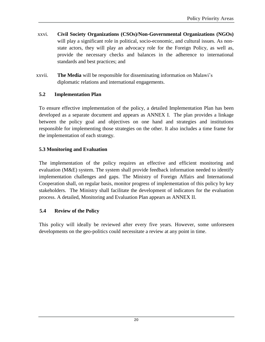- xxvi. **Civil Society Organizations (CSOs)/Non-Governmental Organizations (NGOs)** will play a significant role in political, socio-economic, and cultural issues. As nonstate actors, they will play an advocacy role for the Foreign Policy, as well as, provide the necessary checks and balances in the adherence to international standards and best practices; and
- xxvii. **The Media** will be responsible for disseminating information on Malawi's diplomatic relations and international engagements.

# <span id="page-33-0"></span>**5.2 Implementation Plan**

To ensure effective implementation of the policy, a detailed Implementation Plan has been developed as a separate document and appears as ANNEX I. The plan provides a linkage between the policy goal and objectives on one hand and strategies and institutions responsible for implementing those strategies on the other. It also includes a time frame for the implementation of each strategy.

# <span id="page-33-1"></span>**5.3 Monitoring and Evaluation**

The implementation of the policy requires an effective and efficient monitoring and evaluation (M&E) system. The system shall provide feedback information needed to identify implementation challenges and gaps. The Ministry of Foreign Affairs and International Cooperation shall, on regular basis, monitor progress of implementation of this policy by key stakeholders. The Ministry shall facilitate the development of indicators for the evaluation process. A detailed, Monitoring and Evaluation Plan appears as ANNEX II.

#### **5.4 Review of the Policy**

This policy will ideally be reviewed after every five years. However, some unforeseen developments on the geo-politics could necessitate a review at any point in time.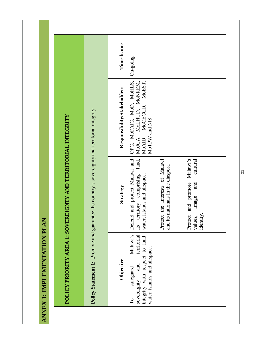<span id="page-34-0"></span>

|                                                                                                                                                                | Time-frame                  | $On-gong$                                                                                                                                    |                                                                          |                                                                                                         |
|----------------------------------------------------------------------------------------------------------------------------------------------------------------|-----------------------------|----------------------------------------------------------------------------------------------------------------------------------------------|--------------------------------------------------------------------------|---------------------------------------------------------------------------------------------------------|
|                                                                                                                                                                | Responsibility/Stakeholders | OPC, MoFAIC, MoD, MoHLS,<br>MOJCA, MOLHUD, MONREM,<br>MoAID, MoCECCD, MoEST,<br>MoTPW and NIS                                                |                                                                          |                                                                                                         |
| Policy Statement 1: Promote and guarantee the country's sovereignty and territorial integrity<br>POLICY PRIORITY AREA 1: SOVEREIGNTY AND TERRITORIAL INTEGRITY | Strategy                    | territory comprising land,<br>Defend and protect Malawi and<br>water, islands and airspace.<br>its                                           | Protect the interests of Malawi<br>its nationals in the diaspora.<br>and | and promote Malawi's<br>$\mathop{\mathrm{cultural}}$<br>and<br>image<br>identity.<br>Protect<br>values, |
|                                                                                                                                                                | Objective                   | integrity with respect to land,<br>Malawi's<br>territorial<br>water, islands, and airspace.<br>and<br>safeguard<br>sovereignty<br>$\Gamma$ o |                                                                          |                                                                                                         |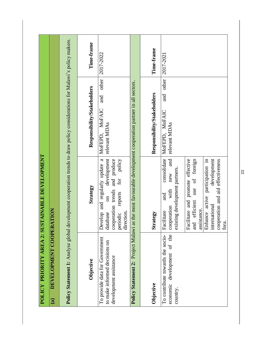|                                                                                           | POLICY PRIORITY AREA 2: SUSTAINABLE DEVELOPMENT                                                                                                                              |                                                                                                                             |            |
|-------------------------------------------------------------------------------------------|------------------------------------------------------------------------------------------------------------------------------------------------------------------------------|-----------------------------------------------------------------------------------------------------------------------------|------------|
| <b>DEVELOPMENT COOPER</b><br>$\widehat{\mathbf{a}}$                                       | ATION                                                                                                                                                                        |                                                                                                                             |            |
|                                                                                           |                                                                                                                                                                              | Policy Statement 1: Analyse global development cooperation trends to draw policy considerations for Malawi's policy makers. |            |
| Objective                                                                                 | Strategy                                                                                                                                                                     | Responsibility/Stakeholders                                                                                                 | Time-frame |
| To provide data for Government<br>to make informed decisions on<br>development assistance | Develop and regularly update a<br>development<br>policy<br>cooperation trends and produce<br>for<br>reports<br>$\overline{\mathrm{m}}$<br>direction.<br>periodic<br>database | 2017-2022<br>other<br>and<br>MOFAIC<br>relevant MDAs<br>MOFEPD,                                                             |            |
| Policy Statement 2: Project Malawi                                                        |                                                                                                                                                                              | as the most favourable development cooperation partner in all sectors.                                                      |            |
| Objective                                                                                 | Strategy                                                                                                                                                                     | Time-frame<br>Responsibility/Stakeholders                                                                                   |            |
| of the<br>To contribute towards the socio-<br>development<br>economic<br>country.         | consolidate<br>and<br>existing development partners.<br>new<br>with<br>and<br>cooperation<br>cilitate<br>$E_{\rm a}$                                                         | 2017-2021<br>other<br>and<br>MOFAIC<br>relevant MDAs<br>MoFEPD.                                                             |            |
|                                                                                           | Facilitate and promote effective<br>and efficient use of foreign<br>assistance.                                                                                              |                                                                                                                             |            |
|                                                                                           | development<br>Enhance active participation in<br>cooperation and aid effectiveness<br>international<br>fora.                                                                |                                                                                                                             |            |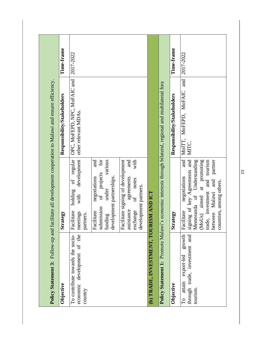| and<br>OPC, MoFEPD, NPC, MoFAIC and<br>i's economic interests through bilateral, regional and multilateral fora<br>MOITT, MOFEPD, MOFAIC<br>Responsibility/Stakeholders<br>Responsibility/Stakeholders<br>other relevant MDAs.<br>MITC.<br>development<br>regular<br>signing of key Agreements and<br>Memoranda of Understanding<br>and<br>for<br>(MoUs) aimed at promoting<br>and<br>various<br>with<br>trade, investment and tourism<br>Facilitate signing of development<br>and<br>partner<br>of projects<br>development partnerships.<br>negotiations<br>negotiations<br>agreements<br>notes<br>and<br>ð<br>countries, among others.<br>development partners.<br>under<br>holding<br>between Malawi<br>(b) TRADE, INVESTMENT, TOURISM AND ICT<br>$\sigma f$<br>with<br>submission<br>assistance<br>exchange<br>Facilitate<br>Facilitate<br>Facilitate<br>meetings<br>Strategy<br>Strategy<br>partners.<br>funding<br><b>Policy Statement 1: Promote Malawi</b><br>economic development of the<br>To contribute towards the socio-<br>growth<br>and<br>through trade, investment<br>export-led<br>attain<br>Objective<br>Objective<br>tourism.<br>country<br>$\overline{\Gamma}$ |  | Policy Statement 3: Follow-up and facilitate all development cooperation to Malawi and ensure efficiency. |            |
|-------------------------------------------------------------------------------------------------------------------------------------------------------------------------------------------------------------------------------------------------------------------------------------------------------------------------------------------------------------------------------------------------------------------------------------------------------------------------------------------------------------------------------------------------------------------------------------------------------------------------------------------------------------------------------------------------------------------------------------------------------------------------------------------------------------------------------------------------------------------------------------------------------------------------------------------------------------------------------------------------------------------------------------------------------------------------------------------------------------------------------------------------------------------------------------|--|-----------------------------------------------------------------------------------------------------------|------------|
|                                                                                                                                                                                                                                                                                                                                                                                                                                                                                                                                                                                                                                                                                                                                                                                                                                                                                                                                                                                                                                                                                                                                                                                     |  |                                                                                                           | Time-frame |
|                                                                                                                                                                                                                                                                                                                                                                                                                                                                                                                                                                                                                                                                                                                                                                                                                                                                                                                                                                                                                                                                                                                                                                                     |  |                                                                                                           | 2017-2022  |
|                                                                                                                                                                                                                                                                                                                                                                                                                                                                                                                                                                                                                                                                                                                                                                                                                                                                                                                                                                                                                                                                                                                                                                                     |  |                                                                                                           |            |
|                                                                                                                                                                                                                                                                                                                                                                                                                                                                                                                                                                                                                                                                                                                                                                                                                                                                                                                                                                                                                                                                                                                                                                                     |  |                                                                                                           |            |
|                                                                                                                                                                                                                                                                                                                                                                                                                                                                                                                                                                                                                                                                                                                                                                                                                                                                                                                                                                                                                                                                                                                                                                                     |  |                                                                                                           |            |
|                                                                                                                                                                                                                                                                                                                                                                                                                                                                                                                                                                                                                                                                                                                                                                                                                                                                                                                                                                                                                                                                                                                                                                                     |  |                                                                                                           |            |
|                                                                                                                                                                                                                                                                                                                                                                                                                                                                                                                                                                                                                                                                                                                                                                                                                                                                                                                                                                                                                                                                                                                                                                                     |  |                                                                                                           | Time-frame |
|                                                                                                                                                                                                                                                                                                                                                                                                                                                                                                                                                                                                                                                                                                                                                                                                                                                                                                                                                                                                                                                                                                                                                                                     |  |                                                                                                           | 2017-2022  |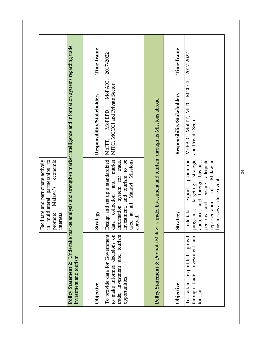|                                                                                                                    | multilateral partnerships to<br>economic<br>Facilitate and participate actively<br>promote Malawi's<br>interests.<br>$\mathbf{u}$                                                                                      |                                                                                                                           |            |
|--------------------------------------------------------------------------------------------------------------------|------------------------------------------------------------------------------------------------------------------------------------------------------------------------------------------------------------------------|---------------------------------------------------------------------------------------------------------------------------|------------|
| investment and tourism                                                                                             |                                                                                                                                                                                                                        | Policy Statement 2: Undertake market analysis and strengthen market intelligence and information systems regarding trade, |            |
| Objective                                                                                                          | Strategy                                                                                                                                                                                                               | Responsibility/Stakeholders                                                                                               | Time-frame |
| To provide data for Government<br>to make informed decisions on<br>trade, investment and tourism<br>opportunities. | Design and set up a standardized<br>data collection and market<br>investment, and tourism to be<br>used at all Malawi Missions<br>information system for trade,<br>abroad.                                             | MOFAIC,<br>MITC, MCCCI and Private Sector.<br>MOFEPD,<br>MOITT,                                                           | 2017-2022  |
| <b>Policy Statement 3: Promote Malawi'</b>                                                                         | s trade, investment and tourism, through its Missions abroad                                                                                                                                                           |                                                                                                                           |            |
| Objective                                                                                                          | Strategy                                                                                                                                                                                                               | Responsibility/Stakeholders                                                                                               | Time-frame |
| growth<br>and<br>through trade, investment<br>export-led<br>attain<br>tourism<br>$\Gamma$ o                        | promotion<br>strategic<br>ensure adequate<br>audiences and foreign business<br>Malawian<br>businesses at these events.<br>targeting<br>$\sigma f$<br>export<br>persons and<br>representation<br>Undertake<br>programs, | MOFAIC, MOITT, MITC, MCCCI,<br>and Private Sector.                                                                        | 2017-2022  |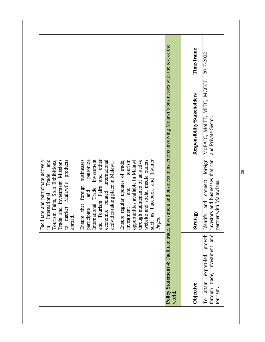|                                                                                                 | Tourism Fairs, Solo Exhibitions,<br>Trade and Investment Missions<br>market Malawi's products<br>Facilitate and participate actively<br>and<br>International Trade<br>abroad.<br>$\mathbf{c}$<br>$\Xi$ .                |                                                                                                                               |            |
|-------------------------------------------------------------------------------------------------|-------------------------------------------------------------------------------------------------------------------------------------------------------------------------------------------------------------------------|-------------------------------------------------------------------------------------------------------------------------------|------------|
|                                                                                                 | patronize<br>International Trade, Investment<br>Tourism Fairs and other<br>businesses<br>economic related international<br>activities taking place in Malawi<br>Ensure that foreign<br>and<br>participate<br>and        |                                                                                                                               |            |
|                                                                                                 | through maintenance of an active<br>tourism<br>website and social media outlets<br>Ensure regular updates of trade,<br>such as Facebook and Twitter<br>opportunities available in Malawi<br>and<br>investment<br>Pages. |                                                                                                                               |            |
| world.                                                                                          |                                                                                                                                                                                                                         | Policy Statement 4: Facilitate trade, investment and business transactions involving Malawi's businesses with the rest of the |            |
| Objective                                                                                       | Strategy                                                                                                                                                                                                                | Responsibility/Stakeholders                                                                                                   | Time-frame |
| growth<br>through trade, investment and<br>export-led<br>attain<br>tourism.<br>$\Gamma_{\rm O}$ | foreign<br>investors and businesses that can<br>connect<br>partner with Malawians.<br>and<br>Identify                                                                                                                   | MOFAIC, MOITT, MITC, MCCCI,<br>and Private Sector.                                                                            | 2017-2022  |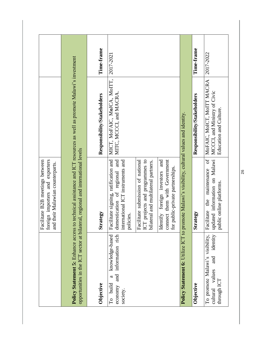|                                                                                               | foreign importers and exporters<br>Facilitate B2B meetings between<br>and their Malawian counterparts.                     |                                                                                                                     |            |
|-----------------------------------------------------------------------------------------------|----------------------------------------------------------------------------------------------------------------------------|---------------------------------------------------------------------------------------------------------------------|------------|
|                                                                                               | opportunities in the ICT sector at bilateral, regional and international levels                                            | Policy Statement 5: Enhance access to technical assistance and ICT resources as well as promote Malawi's investment |            |
| Objective                                                                                     | Strategy                                                                                                                   | Responsibility/Stakeholders                                                                                         | Time-frame |
| information rich<br>knowledge-based<br>and<br>ß<br>build<br>economy<br>society.<br>$\Gamma$ o | Facilitate signing, ratification and<br>and<br>international ICT instruments and<br>domestication of regional<br>policies. | MICT, MOFAIC, MOJCA, MOITT,<br>MITC, MCCCI, and MACRA.                                                              | 2017-2021  |
|                                                                                               | ICT projects and programmes to<br>bilateral and multilateral partners.<br>Facilitate submission of national                |                                                                                                                     |            |
|                                                                                               | connect them with Government<br>and<br>public-private partnerships.<br>Identify foreign investors<br>for                   |                                                                                                                     |            |
|                                                                                               | Policy Statement 6: Utilize ICT to promote Malawi's visibility, cultural values and identity.                              |                                                                                                                     |            |
| Objective                                                                                     | Strategy                                                                                                                   | Responsibility/Stakeholders                                                                                         | Time-frame |
| identity<br>To promote Malawi's visibility,<br>values and<br>through ICT<br>cultural          | updated information on Malawi<br>$\sigma f$<br>the maintenance<br>public online platforms.<br>Facilitate                   | MOFAIC, MOICT, MOITT MACRA<br>MCCCI, and Ministry of Civic<br>Education and Culture.                                | 2017-2022  |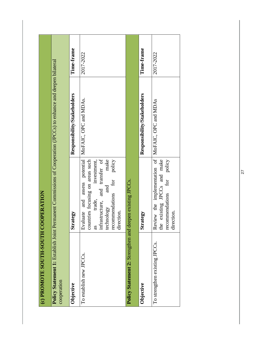| (c) PROMOTE SOUTH-SOUTH COOPERATION                         |                                                                                                                                                                                                                      |                                                                              |            |
|-------------------------------------------------------------|----------------------------------------------------------------------------------------------------------------------------------------------------------------------------------------------------------------------|------------------------------------------------------------------------------|------------|
| <b>Policy Statement 1: Establish Joint H</b><br>cooperation |                                                                                                                                                                                                                      | Permanent Commissions of Cooperation (JPCCs) to enhance and deepen bilateral |            |
| Objective                                                   | Strategy                                                                                                                                                                                                             | Responsibility/Stakeholders                                                  | Time-frame |
| To establish new JPCCs.                                     | assess potential<br>infrastructure, and transfer of<br>make<br>countries focusing on areas such<br>policy<br>investment,<br>for<br>and<br>recommendations<br>Evaluate and<br>trade,<br>technology<br>direction.<br>æ | MoFAIC, OPC and MDAs.                                                        | 2017-2022  |
| Policy Statement 2: Strengthen and deepen existing JPCCs.   |                                                                                                                                                                                                                      |                                                                              |            |
| Objective                                                   | Strategy                                                                                                                                                                                                             | Responsibility/Stakeholders                                                  | Time-frame |
| To strengthen existing JPCCs.                               | Review the implementation of MoFAIC, OPC and MDAs<br>the existing JPCCs and make<br>recommendations for policy<br>direction.                                                                                         |                                                                              | 2017-2022  |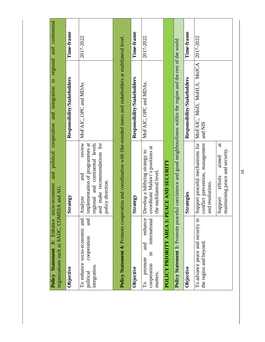| organizations such as SADC, COMESA and AU.                                                 |                                                                                                                                                     | Policy Statement 3: Enhance socio-economic and political cooperation and integration in regional and continental                |            |
|--------------------------------------------------------------------------------------------|-----------------------------------------------------------------------------------------------------------------------------------------------------|---------------------------------------------------------------------------------------------------------------------------------|------------|
| Objective                                                                                  | Strategy                                                                                                                                            | Responsibility/Stakeholders                                                                                                     | Time-frame |
| and<br>To enhance socio-economic and<br>cooperation<br>integration.<br>political           | and make recommendations for<br>review<br>implementation of programmes at<br>regional and continental levels<br>and<br>policy direction.<br>Analyze | MoFAIC, OPC and MDAs                                                                                                            | 2017-2022  |
|                                                                                            |                                                                                                                                                     | <b>Policy Statement 4:</b> Promote cooperation and coordination with like-minded states and stakeholders at multilateral level. |            |
| Objective                                                                                  | trategy<br>$\mathbf{z}$                                                                                                                             | Responsibility/Stakeholders                                                                                                     | Time-frame |
| enhance<br>international<br>and<br>$\Xi$<br>promote<br>cooperation<br>matters.<br>$\Gamma$ | coordinate Malawi's positions at<br>Develop a lobbying strategy to<br>the multilateral level                                                        | MoFAIC, OPC and MDAs.                                                                                                           | 2017-2022  |
| POLICY PRIORITY AREA 3: PEACE AND SECURITY                                                 |                                                                                                                                                     |                                                                                                                                 |            |
|                                                                                            |                                                                                                                                                     | <b>Policy Statement 1:</b> Promote peaceful coexistence and good neighbourliness within the region and the rest of the world    |            |
| Objective                                                                                  | Strategies                                                                                                                                          | Responsibility/Stakeholders                                                                                                     | Time-frame |
| To advance peace and security in<br>the region and beyond.                                 | Support peaceful mechanisms for<br>conflict prevention, management<br>and resolutions.                                                              | MoFAIC, MoD, MoHLS, MoJCA<br>and NIS                                                                                            | 2017-2022  |
|                                                                                            | $\ddot{a}$<br>maintaining peace and security.<br>aimed<br>efforts<br>Support                                                                        |                                                                                                                                 |            |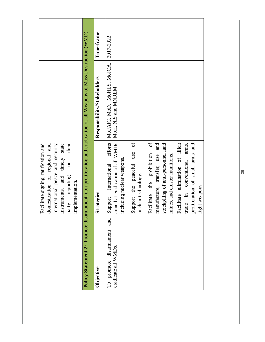|                                                                          | their<br>nternational peace and security<br>nstruments, and timely state<br>Facilitate signing, ratification and<br>domestication of regional and<br>$\overline{\mathrm{m}}$<br>party reporting<br>mplementation. |                                                                                                                     |            |
|--------------------------------------------------------------------------|-------------------------------------------------------------------------------------------------------------------------------------------------------------------------------------------------------------------|---------------------------------------------------------------------------------------------------------------------|------------|
|                                                                          |                                                                                                                                                                                                                   | Policy Statement 2: Promote disarmament, non-proliferation and eradication of all Weapons of Mass Destruction (WMD) |            |
| Objective                                                                | Strategies                                                                                                                                                                                                        | Responsibility/Stakeholders                                                                                         | Time-frame |
| and<br>promote disarmament<br>eradicate all WMDs.<br>$\overline{\Gamma}$ | efforts<br>aimed at eradication of all WMDs<br>ncluding nuclear weapons.<br>international<br>Support                                                                                                              | MoFAIC, MoD, MoHLS, MoJCA, 2017-2022<br>MoH, NIS and MNREM                                                          |            |
|                                                                          | ð<br>use<br>Support the peaceful<br>nuclear technology.                                                                                                                                                           |                                                                                                                     |            |
|                                                                          | $\sigma$<br>manufacture, transfer, use and<br>Facilitate the prohibition                                                                                                                                          |                                                                                                                     |            |
|                                                                          | stockpiling of anti-personnel land<br>mines, and cluster munitions.                                                                                                                                               |                                                                                                                     |            |
|                                                                          | Facilitate elimination of illicit<br>arms,<br>conventional<br>rade in                                                                                                                                             |                                                                                                                     |            |
|                                                                          | proliferation of small arms and<br>ight weapons.                                                                                                                                                                  |                                                                                                                     |            |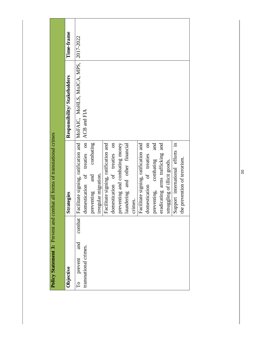|                                                                          | Policy Statement 3: Prevent and combat all forms of transnational crimes |                                                                                    |            |
|--------------------------------------------------------------------------|--------------------------------------------------------------------------|------------------------------------------------------------------------------------|------------|
| Objective                                                                | Strategies                                                               | Responsibility/Stakeholders                                                        | Time-frame |
| combat<br>and<br>transnational crimes.<br>prevent<br>$\overline{\Gamma}$ | domestication of treaties on                                             | Facilitate signing, ratification and   MoFAIC, MoHLS, MoJCA, MPS,  <br>ACB and FIA | 2017-2022  |
|                                                                          | combating<br>irregular migration.<br>and<br>preventing                   |                                                                                    |            |
|                                                                          | domestication of treaties on<br>Facilitate signing, ratification and     |                                                                                    |            |
|                                                                          | preventing and combating money<br>aundering and other financial          |                                                                                    |            |
|                                                                          | crimes.                                                                  |                                                                                    |            |
|                                                                          | Facilitate signing, ratification and<br>domestication of treaties on     |                                                                                    |            |
|                                                                          | and<br>combating<br>preventing,                                          |                                                                                    |            |
|                                                                          | and<br>eradicating arms trafficking<br>smuggling of illicit goods.       |                                                                                    |            |
|                                                                          | Support international efforts in                                         |                                                                                    |            |
|                                                                          | the prevention of terrorism.                                             |                                                                                    |            |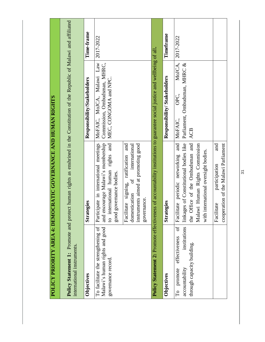| POLICY PRIORITY AREA 4: DEMO                                                                                                          | CRATIC GOVERNANCE AND HUMAN RIGHTS                                                                                                                                                             |                                                                                    |            |
|---------------------------------------------------------------------------------------------------------------------------------------|------------------------------------------------------------------------------------------------------------------------------------------------------------------------------------------------|------------------------------------------------------------------------------------|------------|
| international instruments.                                                                                                            | <b>Policy Statement 1:</b> Promote and protect human rights as enshrined in the Constitution of the Republic of Malawi and affiliated                                                          |                                                                                    |            |
| Objectives                                                                                                                            | Strategies                                                                                                                                                                                     | Responsibility/Stakeholders                                                        | Time-frame |
| To facilitate the strengthening of<br>Malawi's human rights and good<br>governance record.                                            | to international human rights and<br>and encourage Malawi's membership<br>Participate in international meetings<br>governance bodies.<br>good;                                                 | MOFAIC, MOJCA, Malawi Law<br>Commission, Ombudsman, MHRC,<br>MEC, CONGOMA and NPC. | 2017-2022  |
|                                                                                                                                       | instruments aimed at promoting good<br>Facilitate signing, ratification and<br>international<br>$\sigma$<br>domestication<br>governance.                                                       |                                                                                    |            |
|                                                                                                                                       | Policy Statement 2: Promote effectiveness of accountability institutions to guarantee social justice and wellbeing of all.                                                                     |                                                                                    |            |
| Objectives                                                                                                                            | <b>Strategies</b>                                                                                                                                                                              | Responsibility/Stakeholders                                                        | Timeframe  |
| institutions<br>$\frac{1}{\sigma}$<br>effectiveness<br>through capacity building.<br>accountability<br>promote<br>$\overline{\Gamma}$ | Facilitate periodic networking and<br>linkages of Constitutional bodies like<br>the Office of the Ombudsman and<br>Malawi Human Rights Commission<br>international oversight bodies.<br>with i | MoJCA,<br>Parliament, Ombudsman, MHRC &<br>OPC,<br>MOFAIC,<br><b>ACB</b>           | 2017-2022  |
|                                                                                                                                       | cooperation of the Malawi Parliament<br>and<br>participation<br>Facilitate                                                                                                                     |                                                                                    |            |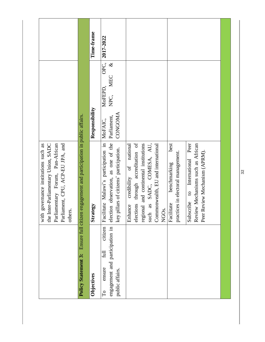|                                                                                                                                                                   |                                                   | Time-frame     | 2017-2022                                                                                                              |                                                                                                                                                                                                                  |                                                                                                                                                                                              |  |
|-------------------------------------------------------------------------------------------------------------------------------------------------------------------|---------------------------------------------------|----------------|------------------------------------------------------------------------------------------------------------------------|------------------------------------------------------------------------------------------------------------------------------------------------------------------------------------------------------------------|----------------------------------------------------------------------------------------------------------------------------------------------------------------------------------------------|--|
|                                                                                                                                                                   |                                                   | Responsibility | OPC,<br>$\infty$<br>MEC<br>MoFEPD,<br>NPC,<br>CONGOMA<br>Parliament,<br>MoFAIC,                                        |                                                                                                                                                                                                                  |                                                                                                                                                                                              |  |
| the Inter-Parliamentary Union, SADC<br>Parliamentary Forum, Pan-African<br>governance institutions such as<br>Parliament, CPU, ACP-EU JPA, and<br>others.<br>with | engagement and participation in public affairs.   | tegy<br>Strat  | election observation, as one of the<br>Facilitate Malawi's participation in<br>key pillars of citizens' participation. | elections through accreditation of<br>regional and continental institutions<br>as SADC, COMESA, AU,<br>national<br>Commonwealth, EU and international<br>credibility of<br>Enhance<br>NGO <sub>S</sub> .<br>such | best<br>Peer<br>Review Mechanisms such as African<br>Review Mechanism (APRM).<br>practices in electoral management.<br>Subscribe to International<br>benchmarking<br>itate<br>Facili<br>Peer |  |
|                                                                                                                                                                   | Ensure full citizen<br><b>Policy Statement 3:</b> | Objectives     | engagement and participation in<br>citizen<br>full<br>ensure<br>public affairs.<br>$\Gamma$ o                          |                                                                                                                                                                                                                  |                                                                                                                                                                                              |  |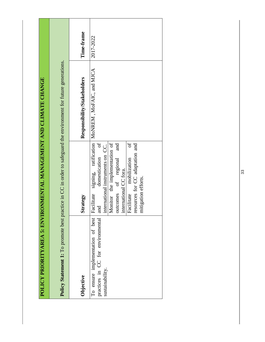| POLICY PRIORITYAREA 5: ENVIRONMENTAL MANAGEMENT AND CLIMATE CHANGE                                               |                                                                                                                                                                                                                                                                               |                                                  |            |
|------------------------------------------------------------------------------------------------------------------|-------------------------------------------------------------------------------------------------------------------------------------------------------------------------------------------------------------------------------------------------------------------------------|--------------------------------------------------|------------|
| Policy Statement 1: To promote best practice in CC in order to safeguard the environment for future generations. |                                                                                                                                                                                                                                                                               |                                                  |            |
| Objective                                                                                                        | Strategy                                                                                                                                                                                                                                                                      | Responsibility/Stakeholders                      | Time-frame |
| To ensure implementation of best<br>practices in CC for environmental<br>sustainability.                         | ð<br>Monitor the implementation of<br>ð<br>and<br>resources for CC adaptation and<br>international instruments on CC.<br>domestication<br>putcomes of regional<br>mobilization<br>international CC fora.<br>mitigation efforts.<br>Facilitate<br>Facilitate<br>$\overline{a}$ | signing, ratification   MoNREM, MoFAIC, and MICA | 2017-2022  |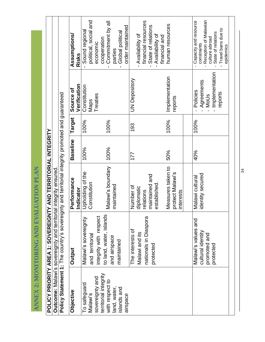|                                         |                                                               |                                                                        |                                                                                                 | <b>Assumptions/</b><br>Risks | political, social and<br>- Sound regiona | economic               | Commitment by all<br>cooperation<br>$\blacksquare$ | Global political<br>parties | order maintained |                  | financial resources<br>Availability of  | State of relations<br>$\blacksquare$ | - Availability of<br>financial and | human resources                                    | Capacity and resource<br>constraints     | Reception of Malawian<br>culture abroad | State of relations             | Travel bans due to<br>epidemics |  |
|-----------------------------------------|---------------------------------------------------------------|------------------------------------------------------------------------|-------------------------------------------------------------------------------------------------|------------------------------|------------------------------------------|------------------------|----------------------------------------------------|-----------------------------|------------------|------------------|-----------------------------------------|--------------------------------------|------------------------------------|----------------------------------------------------|------------------------------------------|-----------------------------------------|--------------------------------|---------------------------------|--|
|                                         |                                                               |                                                                        |                                                                                                 | Verification<br>Source of    | Constitution<br><b>Maps</b>              | Treaties               |                                                    |                             |                  | UN Depository    |                                         |                                      |                                    | Implementation<br>reports                          | Policies<br>$\mathbf{I}$                 | Agreements<br><b>MoUs</b>               | Implementation<br>$\mathbf{I}$ | reports                         |  |
|                                         |                                                               |                                                                        |                                                                                                 | Target                       | 100%                                     |                        | 100%                                               |                             |                  | 193              |                                         |                                      |                                    | 100%                                               | 100%                                     |                                         |                                |                                 |  |
|                                         |                                                               |                                                                        |                                                                                                 | <b>Baseline</b>              | 100%                                     |                        | 100%                                               |                             |                  | 177              |                                         |                                      |                                    | 50%                                                | 40%                                      |                                         |                                |                                 |  |
|                                         |                                                               |                                                                        |                                                                                                 | Performance<br>Indicator     | Upholding of the<br>Constitution         |                        | Malawi's boundary                                  | maintained                  |                  | Number of        | diplomatic<br>relations                 | maintained and                       | established                        | Measures taken to<br>protect Malawi's<br>interests | Malawi cultural                          | identity secured                        |                                |                                 |  |
| ANNEX 2: MONITORING AND EVALUATION PLAN | POLICY PRIORITY AREA 1: SOVEREIGNTY AND TERRITORIAL INTEGRITY | <b>Outcome:</b> Malawi's sovereignty and territorial integrity ensured | Policy Statement 1: The country's sovereignty and territorial integrity promoted and guaranteed | Output                       | Malawi's sovereignty<br>and territorial  | integrity with respect | to land, water, islands                            | and airspace<br>maintained  |                  | The interests of | nationals in Diaspora<br>Malawi and its | protected                            |                                    |                                                    | Malawi's values and<br>cultural identity | promoted and                            | protected                      |                                 |  |
|                                         |                                                               |                                                                        |                                                                                                 | <b>Objective</b>             | To safeguard<br>Malawi's                 | sovereignty and        | territorial integrity<br>with respect to           | land, water,<br>islands and | airspace         |                  |                                         |                                      |                                    |                                                    |                                          |                                         |                                |                                 |  |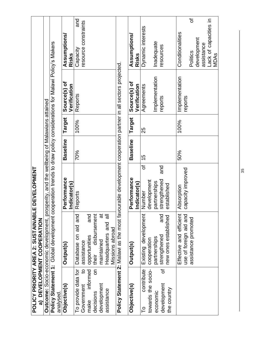|                                                                                                                             | <b>POLICY PRIORITY AREA 2: SUSTAINABLE DEVELOPMENT</b><br>a) DEVELOPMENT COOPERATION                                                             |                                                    |                 |        |                              |                                                |
|-----------------------------------------------------------------------------------------------------------------------------|--------------------------------------------------------------------------------------------------------------------------------------------------|----------------------------------------------------|-----------------|--------|------------------------------|------------------------------------------------|
|                                                                                                                             | <b>Outcome:</b> Socio-economic development, prosperity, and the wellbeing of Malawians attained                                                  |                                                    |                 |        |                              |                                                |
| analysed.                                                                                                                   | Policy Statement 1: Global development cooperation trends to draw policy considerations for Malawi Policy's Makers                               |                                                    |                 |        |                              |                                                |
| Objective(s)                                                                                                                | Output(s)                                                                                                                                        | Performance<br>Indicator(s)                        | <b>Baseline</b> | Target | Source(s) of<br>Verification | <b>Assumptions/</b><br>Risks                   |
| To provide data for<br>$\mathbf{a}$<br>informed<br><b>S</b><br>Government<br>development<br>assistance<br>decisions<br>make | disbursement<br>ಹ<br>and<br>and<br>Headquarters and all<br>ັດ<br>ສ<br>δ<br>opportunities<br>maintained<br>assistance<br><b>Database</b><br>their | Reports                                            | 70%             | 100%   | Reports                      | <b>Due</b><br>resource constraints<br>Capacity |
|                                                                                                                             | Policy Statement 2: Malawi as the most favourable development cooperation partner in all sectors projected.<br>Missions abroad                   |                                                    |                 |        |                              |                                                |
| Objective(s)                                                                                                                | Output(s)                                                                                                                                        | Performance<br>Indicator(s)                        | <b>Baseline</b> | Target | Source(s) of<br>Verification | <b>Assumptions/</b><br>Risks                   |
| contribute<br>towards the socio-<br>ЪO                                                                                      | Existing development<br>cooperation                                                                                                              | ৳<br>development<br>Number                         | 15              | 25     | Agreements                   | Dynamic interests                              |
| đ<br>development<br>the country<br>economic                                                                                 | and<br>new ones established<br>strengthened<br>partnerships                                                                                      | and<br>strengthened<br>partnerships<br>established |                 |        | Implementation<br>reports    | Inadequate<br>resources                        |
|                                                                                                                             | Effective and efficient<br>use of foreign aid and                                                                                                | capacity improved<br>Absorption                    | 50%             | 100%   | Implementation<br>reports    | Conditionalities                               |
|                                                                                                                             | assistance promoted                                                                                                                              |                                                    |                 |        |                              | ৳<br>development<br>Politics                   |
|                                                                                                                             |                                                                                                                                                  |                                                    |                 |        |                              | assistance                                     |
|                                                                                                                             |                                                                                                                                                  |                                                    |                 |        |                              | Lack of capacities in<br>MDAs                  |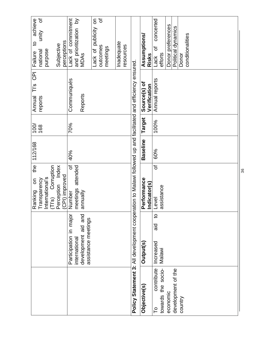| ৳<br>achieve<br>unity<br>$\overline{5}$<br>perceptions<br>Subjective<br>purpose<br>national<br>Failure              | Lack of commitment<br>৳<br>$\geq$<br>$\overline{5}$<br>publicity<br>and prioritization<br>Inadequate<br>resources<br>outcomes<br>meetings<br>Lack of<br>MDAS | concerted<br>Donor preferences<br>Political dynamics<br>conditionalities<br>Assumptions/<br>đ<br>efforts<br>Donor<br>Risks<br>Lack                                       |
|---------------------------------------------------------------------------------------------------------------------|--------------------------------------------------------------------------------------------------------------------------------------------------------------|--------------------------------------------------------------------------------------------------------------------------------------------------------------------------|
| $\overline{5}$<br>$\frac{1}{2}$<br>Annual<br>reports                                                                | Communiqués<br>Reports                                                                                                                                       | Annual reports<br>Source(s) of<br>Verification                                                                                                                           |
| $\overline{00}$<br>168                                                                                              | 70%                                                                                                                                                          | Target<br>100%                                                                                                                                                           |
| 112/168                                                                                                             | 40%                                                                                                                                                          | <b>Baseline</b><br>60%                                                                                                                                                   |
| the<br>Corruption<br>Perception Index<br>(CPI) improved<br>International's<br>Transparency<br>S<br>Ranking<br>(T S) | ৳<br>attended<br>meetings<br>annually<br>Number                                                                                                              | Policy Statement 3: All development cooperation to Malawi followed up and facilitated and efficiency ensured.<br>৳<br>Performance<br>Indicator(s)<br>assistance<br>Level |
|                                                                                                                     |                                                                                                                                                              | $\overline{c}$<br><u>ក្ខ</u>                                                                                                                                             |
|                                                                                                                     | Participation in major<br>development aid and<br>assistance meetings<br>international                                                                        | Increased<br><b>Output(s)</b><br>Malawi                                                                                                                                  |
|                                                                                                                     |                                                                                                                                                              | contribute<br>towards the socio-<br>development of the<br>Objective(s)<br>economic<br>country<br>P                                                                       |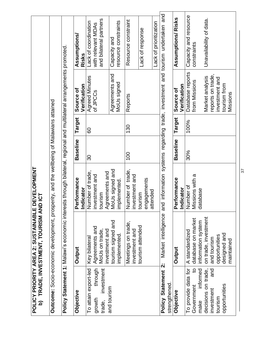| <u>ි</u>                                                                | TRADE, INVESTMENT, TOURISM AND ICT<br>POLICY PRIORITY AREA 2: SUSTAINABLE                                           | <b>DEVELOPMENT</b>                               |                 |        |                                                        |                                                                                |
|-------------------------------------------------------------------------|---------------------------------------------------------------------------------------------------------------------|--------------------------------------------------|-----------------|--------|--------------------------------------------------------|--------------------------------------------------------------------------------|
|                                                                         | Outcome: Socio-economic development, prosperity, and the wellbeing of Malawians attained                            |                                                  |                 |        |                                                        |                                                                                |
|                                                                         | Policy Statement 1: Malawi's economic interests through bilateral, regional and multilateral arrangements promoted. |                                                  |                 |        |                                                        |                                                                                |
| Objective                                                               | <b>Output</b>                                                                                                       | Performance<br>Indicator                         | <b>Baseline</b> | Target | Verification<br>Source of                              | <b>Assumptions/</b><br>Risks                                                   |
| through<br>investment<br>To attain export-led<br>growth<br>trade,       | Agreements and<br>MoUs on trade<br>Key bilatera                                                                     | Number of trade,<br>investment and<br>tourism    | $\infty$        | 60     | <b>Agreed Minutes</b><br>of JPCCs                      | and bilateral partners<br>Lack of coordination<br>with relevant MDAs           |
| and tourism                                                             | tourism signed and<br>investment and<br>implemented.                                                                | Agreements and<br>MoUs signed and<br>implemented |                 |        | Agreements and<br>MoUs signed                          | resource constraints<br>Capacity and                                           |
|                                                                         | Meetings on trade,<br>investment and                                                                                | Number of trade,<br>investment and               | 100             | 130    | Reports                                                | Resource constraint                                                            |
|                                                                         | tourism attended                                                                                                    | engagements<br>tourism                           |                 |        |                                                        | Lack of response                                                               |
|                                                                         |                                                                                                                     | attended                                         |                 |        |                                                        | Lack of prioritization                                                         |
| Policy Statement 2:<br>strengthened                                     | Market intelligence                                                                                                 |                                                  |                 |        |                                                        | and information systems regarding trade, investment and tourism undertaken and |
| Objective                                                               | Output                                                                                                              | Performance<br><b>Indicator</b>                  | <b>Baseline</b> | Target | Verification<br>Source of                              | Assumptions/Risks                                                              |
| $\overline{5}$<br>To provide data for<br>Government                     | database on market<br>A standardized                                                                                | Missions with a<br>Number of                     | 30%             | 100%   | Database reports<br>from Missions                      | Capacity and resource<br>constraints                                           |
| informed<br>decisions on trade,<br>and<br>investment<br>tourism<br>make | on trade, investment<br>information system<br>opportunities<br>and tourism                                          | database                                         |                 |        | reports on trade,<br>Market analysis<br>investment and | Unavailability of data.                                                        |
| opportunities                                                           | designed and<br>maintained                                                                                          |                                                  |                 |        | tourism from<br>Missions                               |                                                                                |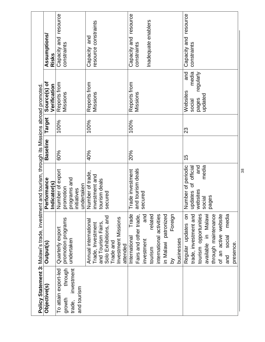|                      | Policy Statement 3: Malawi's trade, investment and tourism, through its Missions abroad promoted. |                                          |                 |        |                              |                       |
|----------------------|---------------------------------------------------------------------------------------------------|------------------------------------------|-----------------|--------|------------------------------|-----------------------|
| Objective(s)         | <b>Output(s)</b>                                                                                  | Performance<br>Indicator(s)              | <b>Baseline</b> | Target | Source(s) of<br>Verification | Assumptions<br>Risks  |
| To attain export-led | Quarterly export                                                                                  | Number of export                         | 60%             | 100%   | Reports from                 | Capacity and resource |
| through<br>growth    | promotion programs                                                                                |                                          |                 |        | Missions                     | constraints           |
| investment<br>trade, | undertaken                                                                                        | promotion<br>programs and<br>initiatives |                 |        |                              |                       |
| and tourism          |                                                                                                   |                                          |                 |        |                              |                       |
|                      |                                                                                                   | undertaken                               |                 |        |                              |                       |
|                      | Annual international                                                                              | Number of trade,                         | 40%             | 100%   | Reports from                 | and<br>Capacity       |
|                      | Trade, Investment                                                                                 | investment and                           |                 |        | Missions                     | resource constraints  |
|                      | and Tourism Fairs,                                                                                | tourism deals                            |                 |        |                              |                       |
|                      | Solo Exhibitions, and                                                                             | secured                                  |                 |        |                              |                       |
|                      | Trade and                                                                                         |                                          |                 |        |                              |                       |
|                      | Investment<br>Missions                                                                            |                                          |                 |        |                              |                       |
|                      | attended                                                                                          |                                          |                 |        |                              |                       |
|                      | Trade<br>International                                                                            | Trade investment                         | 20%             | 100%   | Reports from                 | Capacity and resource |
|                      | Fairs and other trade,                                                                            | and tourism deals                        |                 |        | Missions                     | constraints           |
|                      | and<br>investment                                                                                 | secured                                  |                 |        |                              |                       |
|                      | related<br>tourism                                                                                |                                          |                 |        |                              | Inadequate enablers   |
|                      | international activities                                                                          |                                          |                 |        |                              |                       |
|                      | in Malawi patronized                                                                              |                                          |                 |        |                              |                       |
|                      | Foreign<br><u>ۃ</u>                                                                               |                                          |                 |        |                              |                       |
|                      | businesses                                                                                        |                                          |                 |        |                              |                       |
|                      | S<br>Regular updates                                                                              | Number of periodic                       | 15              | 23     | and<br>Websites              | Capacity and resource |
|                      | trade, investment and                                                                             | official<br>đ<br>updates                 |                 |        | media<br>social              | constraints           |
|                      | tourism opportunities                                                                             | and<br>websites                          |                 |        | regularly<br>pages           |                       |
|                      | available in Malawi                                                                               | media<br>social                          |                 |        | updated                      |                       |
|                      | through maintenance                                                                               | ges<br>ga                                |                 |        |                              |                       |
|                      | of an active website                                                                              |                                          |                 |        |                              |                       |
|                      | media<br>social<br>and                                                                            |                                          |                 |        |                              |                       |
|                      | presence.                                                                                         |                                          |                 |        |                              |                       |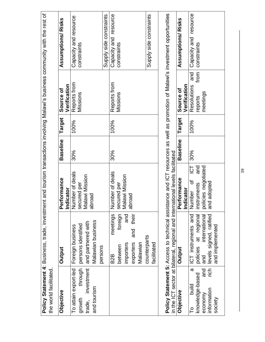| the world facilitated.                                                                 |                                                                                                                   |                                                                                           |                 |               |                                                   | Policy Statement 4: Business, trade, investment and tourism transactions involving Malawi's business community with the rest of |
|----------------------------------------------------------------------------------------|-------------------------------------------------------------------------------------------------------------------|-------------------------------------------------------------------------------------------|-----------------|---------------|---------------------------------------------------|---------------------------------------------------------------------------------------------------------------------------------|
| Objective                                                                              | Output                                                                                                            | irformance<br>dicator<br>ە<br>ב<br><u>ដ</u>                                               | <b>Baseline</b> | <b>Target</b> | Verification<br>Source of                         | Assumptions/Risks                                                                                                               |
| investment<br>through<br>To attain export-led<br>and tourism<br>growth<br>trade,       | <b>Malawian business</b><br>and partnered with<br>persons identified<br>Foreign business<br>persons               | Number of deals<br>Malawi Mission<br>secured per<br>abroad                                | 30%             | 100%          | Reports from<br>Missions                          | Supply side constraints<br>Capacity and resource<br>constraints                                                                 |
|                                                                                        | foreign<br>and<br>their<br>meetings<br>and<br>exporters<br>importers<br>Malawian<br>between<br>B <sub>2</sub> B   | Number of deals<br>Malawi Mission<br>secured per<br>abroad                                | 30%             | 100%          | Reports from<br>Missions                          | Capacity and resource<br>constraints                                                                                            |
|                                                                                        | counterparts<br>facilitated                                                                                       |                                                                                           |                 |               |                                                   | Supply side constraints                                                                                                         |
|                                                                                        | in the ICT sector at bilateral, regional and international levels facilitated                                     |                                                                                           |                 |               |                                                   | Policy Statement 5: Access to technical assistance and ICT resources as well as promotion of Malawi's investment opportunities  |
| Objective                                                                              | Output                                                                                                            | Performance<br><b>Indicator</b>                                                           | <b>Baseline</b> | <b>Target</b> | Verification<br>Source of                         | Assumptions/Risks                                                                                                               |
| rich<br>ω<br>and<br>knowledge-based<br>build<br>information<br>economy<br>society<br>P | ICT instruments and<br>levels signed, ratified<br>policies at regional<br>international<br>and implemented<br>and | and<br>policies negotiated<br>$\overline{2}$<br>đ<br>and adopted<br>instruments<br>Number | 30%             | 100%          | from<br>and<br>Resolutions<br>meetings<br>reports | resource<br>Capacity and<br>constraints                                                                                         |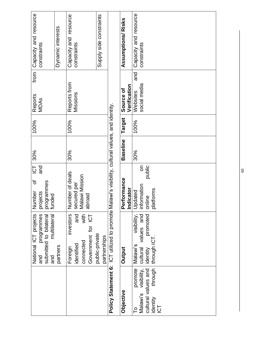| Capacity and resource<br>constraints                                                     | Dynamic interests | Capacity and resource<br>constraints                                                 | Supply side constraints        |                                                                                                 | Assumptions/Risks         | Capacity and resource<br>constraints                                                          |
|------------------------------------------------------------------------------------------|-------------------|--------------------------------------------------------------------------------------|--------------------------------|-------------------------------------------------------------------------------------------------|---------------------------|-----------------------------------------------------------------------------------------------|
| from<br>Reports<br>MDAs                                                                  |                   | Reports from<br>Missions                                                             |                                |                                                                                                 | Verification<br>Source of | and<br>social media<br>Websites                                                               |
| 100%                                                                                     |                   | 100%                                                                                 |                                |                                                                                                 | <b>Target</b>             | 100%                                                                                          |
| 30%                                                                                      |                   | 30%                                                                                  |                                |                                                                                                 | <b>Baseline</b>           | 30%                                                                                           |
| $\overline{C}$<br>and<br>৳<br>projects<br>programmes<br>funded<br>Number                 |                   | Number of deals<br>secured per<br>Malawi Mission<br>abroad                           |                                |                                                                                                 | Performance               | public<br>$\overline{5}$<br><b>Indicator</b><br>Updated<br>information<br>online<br>platforms |
| National ICT projects<br>programmes<br>submitted to bilateral<br>and multilateral<br>and | partners          | with<br>and<br>investors<br>Government for ICT<br>connected<br>identified<br>Foreign | public-private<br>partnerships | Policy Statement 6: ICT utilized to promote Malawi's visibility, cultural values, and identity. | Output                    | visibility,<br>values and<br>promoted<br>through ICT<br>Malawi's<br>cultural<br>identity      |
|                                                                                          |                   |                                                                                      |                                |                                                                                                 | Objective                 | through<br>promote<br>cultural values and<br>visibility,<br>Malawi's<br>identity<br>ICT<br>СU |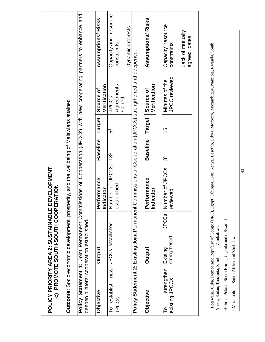|                                 | POLICY PRIORITY AREA 2: SUSTAINABLE D<br>c) PROMOTE SOUTH-SOUTH COOPEI                                     | EVELOPMENT<br><b>RATION</b>        |                 |               |                                      |                                                                            |
|---------------------------------|------------------------------------------------------------------------------------------------------------|------------------------------------|-----------------|---------------|--------------------------------------|----------------------------------------------------------------------------|
|                                 | <b>Outcome:</b> Socio-economic development, prosperity, and the wellbeing of Malawians attained            |                                    |                 |               |                                      |                                                                            |
|                                 | Policy Statement 1: Joint Permanent Commi<br>deepen bilateral cooperation established.                     |                                    |                 |               |                                      | ssions of Cooperation (JPCCs) with new cooperating partners to enhance and |
| Objective                       | Output                                                                                                     | Performance<br>Indicator           | <b>Baseline</b> | Target        | Verification<br>Source of            | Assumptions/Risks                                                          |
| To establish new<br>JPCCs       | JPCCs established                                                                                          | Number of JPCCs<br>tablished<br>ēε | $\overline{18}$ | ვ<br>თ        | Agreements<br><b>JPCCS</b><br>signed | Capacity and resource<br>constraints                                       |
|                                 | Policy Statement 2: Existing Joint Permanent Commissions of Cooperation (JPCCs) strengthened and deepened. |                                    |                 |               |                                      | Dynamic interests                                                          |
| Objective                       | Output                                                                                                     | Performance<br>Indicator           | <b>Baseline</b> | <b>Target</b> | Verification<br>Source of            | Assumptions/Risks                                                          |
| strengthen<br>existing<br>JPCCs | JPCS<br>strengthened<br>Existing                                                                           | Number of JPCCs<br>reviewed        | ွာ              | 15            | JPCC reviewed<br>Minutes of the      | Capacity resource<br>constraints                                           |
|                                 |                                                                                                            |                                    |                 |               |                                      | Lack of mutually<br>agreed dates                                           |
|                                 |                                                                                                            |                                    |                 |               |                                      |                                                                            |

<sup>&</sup>lt;sup>1</sup> Botswana, Cuba, Democratic Republic of Congo (DRC), Egypt, Ethiopia, Iran, Kenya, Lesotho, Libya, Morocco, Mozambique, Namibia, Rwanda, South<br>Africa, Sudan, Tanzania, Zambia and Zimbabwe. 1 Botswana, Cuba, Democratic Republic of Congo (DRC), Egypt, Ethiopia, Iran, Kenya, Lesotho, Libya, Morocco, Mozambique, Namibia, Rwanda, South Africa, Sudan, Tanzania, Zambia and Zimbabwe.

<sup>&</sup>lt;sup>2</sup>Eritrea, Poland, South Korea, Uganda and e-Swatini 2Eritrea, Poland, South Korea, Uganda and e-Swatini

<sup>&</sup>lt;sup>3</sup> Mozambique, South Africa and Zimbabwe. 3 Mozambique, South Africa and Zimbabwe.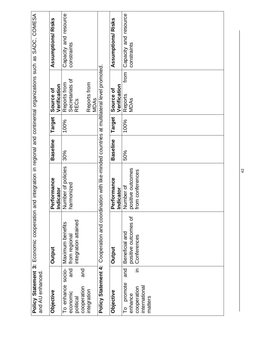| and AU enhanced                                                                           | Policy Statement 3: Economic cooperation and integration in regional and continental organizations such as SADC, COMESA |                                                                  |                 |        |                                                                                          |                                      |
|-------------------------------------------------------------------------------------------|-------------------------------------------------------------------------------------------------------------------------|------------------------------------------------------------------|-----------------|--------|------------------------------------------------------------------------------------------|--------------------------------------|
| Objective                                                                                 | Output                                                                                                                  | <b>irformance</b><br>dicator<br><u>ል</u><br>$\tilde{\mathbf{z}}$ | <b>Baseline</b> | Target | Verification<br>Source of                                                                | Assumptions/Risks                    |
| socio-<br>and<br>and<br>To enhance<br>cooperation<br>integration<br>economic<br>political | integration attained<br>Maximum benefits<br>from regional                                                               | Number of policies<br>harmonized                                 | 30%             | 100%   | Secretariats of<br>Reports from<br>Reports from<br><b>MDAs</b><br><b>REC<sub>S</sub></b> | Capacity and resource<br>constraints |
| Policy Statement 4:                                                                       | Cooperation and coordination with like-minded countries at multilateral level promoted.                                 |                                                                  |                 |        |                                                                                          |                                      |
| Objective                                                                                 | Output                                                                                                                  | Performance<br>dicator<br><u>ដ</u>                               | <b>Baseline</b> | Target | Verification<br>Source of                                                                | Assumptions/Risks                    |
| ⊇.<br>and<br>promote<br>international<br>cooperation<br>enhance<br>matters<br>P           | positive outcomes of<br>Beneficial and<br>Conferences                                                                   | positive outcomes<br>from conferences<br>Number of               | 50%             | 100%   | from<br>Reports<br><b>MDAs</b>                                                           | Capacity and resource<br>constraints |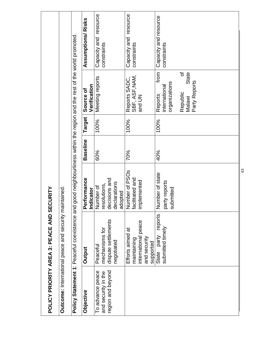|                                                              | POLICY PRIORITY AREA 3: PEACE AND SE                                                | CURITY                                                                      |                 |        |                                                                                                        |                                      |
|--------------------------------------------------------------|-------------------------------------------------------------------------------------|-----------------------------------------------------------------------------|-----------------|--------|--------------------------------------------------------------------------------------------------------|--------------------------------------|
|                                                              | Outcome: International peace and security maintained.                               |                                                                             |                 |        |                                                                                                        |                                      |
|                                                              | Policy Statement 1: Peaceful coexistence and                                        |                                                                             |                 |        | good neighbourliness within the region and the rest of the world promoted                              |                                      |
| Objective                                                    | Output                                                                              | Performance<br>Indicator                                                    | <b>Baseline</b> | Target | Verification<br>Source of                                                                              | Assumptions/Risks                    |
| To advance peace<br>region and beyond<br>and security in the | dispute settlements<br>mechanisms for<br>negotiated<br>Peaceful                     | decisions and<br>declarations<br>resolutions,<br>Number of<br>dopted<br>್ದಾ | 60%             | 100%   | Meeting reports                                                                                        | Capacity and resource<br>constraints |
|                                                              | international peace<br>Efforts aimed at<br>and security<br>maintaining<br>supported | Number of PSO <sub>s</sub><br>facilitated and<br>implemented                | 70%             | 100%   | Reports SADC,<br>SBF, ASF, NAM,<br>and UN                                                              | Capacity and resource<br>constraints |
|                                                              | reports<br>submitted timely<br>State party                                          | Number of state<br>party reports<br>bmitted<br><b>US</b>                    | 40%             | 100%   | from<br>৳<br>State<br>Party Reports<br>organizations<br>international<br>Republic<br>Reports<br>Malawi | Capacity and resource<br>constraints |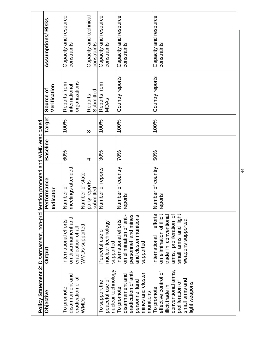| Objective                                                                                                                           | Policy Statement 2: Disarmament, non-proliferation promoted and WMD eradicated<br>Output                                                              | enremace<br>Indicator<br>مّ                       | <b>Baseline</b> | Target   | Verification<br>Source of                      | Assumptions/Risks                     |
|-------------------------------------------------------------------------------------------------------------------------------------|-------------------------------------------------------------------------------------------------------------------------------------------------------|---------------------------------------------------|-----------------|----------|------------------------------------------------|---------------------------------------|
| disarmament and<br>eradication of all<br>To promote<br>WMDs                                                                         | on disarmament and<br>International efforts<br>WMDs supported<br>eradication of all                                                                   | meetings attended<br>Number of state<br>Number of | 60%             | 100%     | organizations<br>Reports from<br>international | Capacity and resource<br>constraints  |
|                                                                                                                                     |                                                                                                                                                       | party reports<br>submitted                        | 4               | $\infty$ | Submitted<br>Reports                           | Capacity and technical<br>constraints |
| nuclear technology<br>peaceful use of<br>To support the                                                                             | nuclear technology<br>Peaceful use of<br>supported                                                                                                    | Number of reports                                 | 30%             | 100%     | Reports from<br>MDAS                           | Capacity and resource<br>constraints  |
| eradication of anti-<br>mines and cluster<br>disarmament and<br>personnel land<br>To promote<br>munitions                           | personnel land mines<br>on elimination of anti-<br>and cluster munitions<br>International efforts<br>supported                                        | Number of country<br>reports                      | 70%             | 100%     | Country reports                                | Capacity and resource<br>constraints  |
| conventional arms,<br>effective control of<br>small arms and<br>proliferation of<br>light weapons<br>illicit trade in<br>To promote | small arms and light<br>efforts<br>on elimination of illicit<br>arms, proliferation of<br>trade in conventional<br>weapons supported<br>International | Number of country<br>reports                      | 50%             | 100%     | Country reports                                | Capacity and resource<br>constraints  |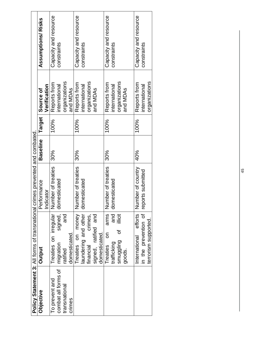|                                                                  | Policy Statement 3: All forms of transnational crimes prevented and combated.                                                |                                         |                 |        |                                                                        |                                      |
|------------------------------------------------------------------|------------------------------------------------------------------------------------------------------------------------------|-----------------------------------------|-----------------|--------|------------------------------------------------------------------------|--------------------------------------|
| Objective                                                        | Output                                                                                                                       | Performance<br>Indicator                | <b>Baseline</b> | Target | Verification<br>Source of                                              | Assumptions/ Risks                   |
| combat all forms of<br>To prevent and<br>transnational<br>crimes | signed,  <br>Treaties on irregular<br>and<br>domesticated<br>migration<br>ratified                                           | Number of treaties<br>domesticated      | 30%             | 100%   | organizations<br>Reports from<br>international<br>and MDA <sub>S</sub> | Capacity and resource<br>constraints |
|                                                                  | Treaties on money Number of treaties<br>aundering and other<br>signed, ratified and<br>crimes,<br>domesticated.<br>financial | domesticated                            | 30%             | 100%   | organizations<br>Reports from<br>international<br>and MDAs             | Capacity and resource<br>constraints |
|                                                                  | and<br>ilicit<br>৳<br>S<br>smuggling<br>trafficking<br>Treaties<br>goods.                                                    | arms Number of treaties<br>domesticated | 30%             | 100%   | organizations<br>Reports from<br>international<br>and MDA <sub>S</sub> | Capacity and resource<br>constraints |
|                                                                  | efforts  <br>in the prevention of<br>terrorism supported.<br>International                                                   | Number of country<br>reports submitted  | $40\%$          | 100%   | organizations<br>Reports from<br>international                         | Capacity and resource<br>constraints |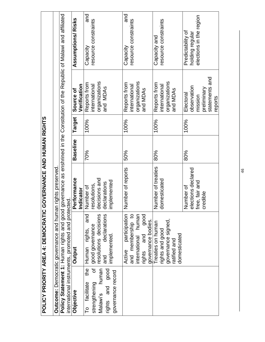|                                                                                 | POLICY PRIORITY AREA 4: DEMOCRATIC GOVERNANCE AND HUMAN RIGHTS |                                              |                 |        |                               |                                                                                                                                |
|---------------------------------------------------------------------------------|----------------------------------------------------------------|----------------------------------------------|-----------------|--------|-------------------------------|--------------------------------------------------------------------------------------------------------------------------------|
|                                                                                 | <b>Outcome:</b> Democratic governance and human                | rights preserved                             |                 |        |                               |                                                                                                                                |
|                                                                                 | international instruments, promoted and protected.             |                                              |                 |        |                               | Policy Statement 1: Human rights and good governance as enshrined in the Constitution of the Republic of Malawi and affiliated |
| Objective                                                                       | <b>Output</b>                                                  | Performance                                  | <b>Baseline</b> | Target | Verification<br>Source of     | Assumptions/Risks                                                                                                              |
| the<br>facilitate<br>$\overline{\phantom{0}}^{\circ}$                           | and<br>good governance<br>rights,<br>Human                     | resolutions,<br>Indicator<br>Number of       | 70%             | 100%   | Reports from<br>international | and<br>resource constraints<br>Capacity                                                                                        |
| đ<br>human<br>rights and good<br>governance record<br>strengthening<br>Malawi's | resolutions decisions<br>declarations<br>implemented.<br>and   | decisions and<br>implemented<br>declarations |                 |        | organizations<br>and MDAs     |                                                                                                                                |
|                                                                                 | participation<br>and membership to<br>Active                   | Number of reports                            | 50%             | 100%   | Reports from<br>international | and<br>resource constraints<br>Capacity                                                                                        |
|                                                                                 | international human<br>rights and good<br>and                  |                                              |                 |        | organizations<br>and MDAs     |                                                                                                                                |
|                                                                                 | governance bodies.<br>Treaties on human<br>rights and good     | Number of treaties<br>domesticated           | 80%             | 100%   | Reports from<br>international | resource constraints<br>Capacity and                                                                                           |
|                                                                                 | governance signed,<br>domesticated<br>ratified and             |                                              |                 |        | organizations<br>and MDAs     |                                                                                                                                |
|                                                                                 |                                                                | elections declared<br>Number of              | 80%             | 100%   | observation<br>Electoral      | Predictability of<br>holding regular                                                                                           |
|                                                                                 |                                                                | free, fair and                               |                 |        | mission                       | elections in the region                                                                                                        |
|                                                                                 |                                                                | credible                                     |                 |        | preliminary                   |                                                                                                                                |
|                                                                                 |                                                                |                                              |                 |        | statements and<br>reports     |                                                                                                                                |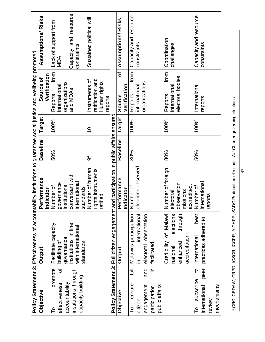|                                  | Policy Statement 2: Effectiveness of accountability institutions to guarantee social justice and wellbeing promoted |                            |                 |        |                           |                          |
|----------------------------------|---------------------------------------------------------------------------------------------------------------------|----------------------------|-----------------|--------|---------------------------|--------------------------|
| Objective                        | Output                                                                                                              | Performance                | <b>Baseline</b> | Target | Verification<br>Source of | Assumptions/Risks        |
| promote<br>Гo                    | Facilitate capacity                                                                                                 | Indicator<br>Number of     | 50%             | 100%   | from<br>Reports           | Lack of support from     |
| ৳<br>effectiveness               | building of                                                                                                         | governance<br>institutions |                 |        | international             | MDA                      |
| accountability                   | governance                                                                                                          |                            |                 |        | organizations             |                          |
| institutions through             | institutions in line                                                                                                | conversant with            |                 |        | and MDAs                  | Capacity and resource    |
| capacity building                | with international                                                                                                  | internationa               |                 |        |                           | constraints              |
|                                  | standards                                                                                                           | standards                  |                 |        |                           |                          |
|                                  |                                                                                                                     | Number of human            | ჭ               | S      | Instruments of            | Sustained political will |
|                                  |                                                                                                                     | rights instruments         |                 |        | ratification and          |                          |
|                                  |                                                                                                                     | ratified                   |                 |        | Human rights<br>reports   |                          |
|                                  | Policy Statement 3: Full citizen engagement and participation in public affairs ensured                             |                            |                 |        |                           |                          |
| Objective                        | Output                                                                                                              | Performance                | <b>Baseline</b> | Target | Ⴆ<br>Source               | Assumptions/Risks        |
|                                  |                                                                                                                     | Indicator                  |                 |        | Verification              |                          |
| $\equiv$<br>ensure<br>P          | Malawi's participation                                                                                              | Number of                  | 80%             | 100%   | from<br>Reports           | Capacity and resource    |
| citizen                          | international<br>$\subseteq$                                                                                        | elections observed         |                 |        | internationa              | constraints              |
| and<br>engagement                | electoral observation                                                                                               |                            |                 |        | organizations             |                          |
| $\subseteq$<br>participation     | facilitated                                                                                                         |                            |                 |        |                           |                          |
| public affairs                   |                                                                                                                     |                            |                 |        |                           |                          |
|                                  | of Malawi<br>Credibility                                                                                            | Number of foreign          | 80%             | 100%   | from<br>Reports           | Coordination             |
|                                  | elections<br>national                                                                                               | electoral                  |                 |        | internationa              | challenges               |
|                                  | through<br>enhanced                                                                                                 | observation                |                 |        | electoral bodies          |                          |
|                                  | accreditation                                                                                                       | accredited<br>missions     |                 |        |                           |                          |
| $\overline{a}$<br>subscribe<br>P | best<br>International                                                                                               | Number of                  | 50%             | 100%   | International             | Capacity and resource    |
| peer<br>international            | practices adhered to                                                                                                | international              |                 |        | reports                   | constraints              |
| review                           |                                                                                                                     | reports                    |                 |        |                           |                          |
| mechanisms                       |                                                                                                                     |                            |                 |        |                           |                          |
|                                  |                                                                                                                     |                            |                 |        |                           |                          |

4 CRC, CEDAW, CRPD, ICSCR, ICCPR, AfCHPR, SADC Protocol on elections, AU Charter governing elections 4 CRC, CEDAW, CRPD, ICSCR, ICCPR, AfCHPR, SADC Protocol on elections, AU Charter governing elections